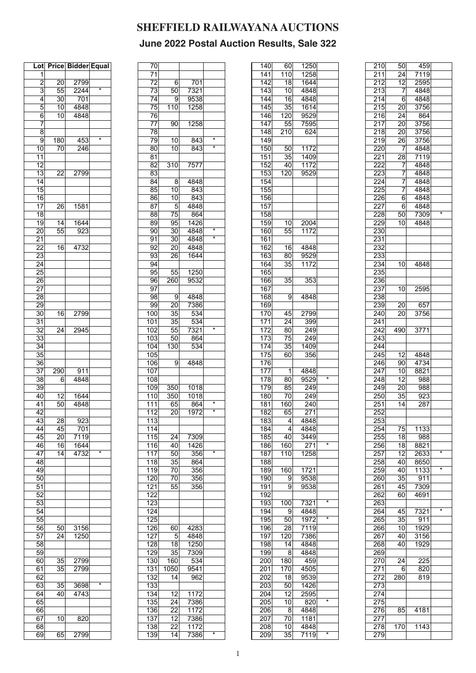| Lot             | <b>Price</b>    | <b>Bidder Equal</b> |                   |
|-----------------|-----------------|---------------------|-------------------|
| 1               |                 |                     |                   |
| $\overline{2}$  | 20              | 2799                |                   |
| 3               | 55              | 2244                | $\overline{\ast}$ |
| 4               | 30              | 701                 |                   |
| 5               | $\overline{10}$ | 4848                |                   |
| 6               | $\overline{10}$ | 4848                |                   |
| 7               |                 |                     |                   |
| 8               |                 |                     |                   |
| 9               | 180             | 453                 | ×                 |
| 10              | 70              | 246                 |                   |
| 11              |                 |                     |                   |
| 12              |                 |                     |                   |
| $\overline{13}$ | 22              | 2799                |                   |
| 14              |                 |                     |                   |
| 15              |                 |                     |                   |
| 16              |                 |                     |                   |
| $\overline{17}$ | 26              | 1581                |                   |
| 18              |                 |                     |                   |
| 19              | 14              | 1644                |                   |
| $\overline{20}$ | 55              | 923                 |                   |
| 21              |                 |                     |                   |
| $2\overline{2}$ | 16              | 4732                |                   |
| 23              |                 |                     |                   |
| 24              |                 |                     |                   |
| 25              |                 |                     |                   |
| 26              |                 |                     |                   |
| $\overline{27}$ |                 |                     |                   |
| $\overline{28}$ |                 |                     |                   |
| $\overline{29}$ |                 |                     |                   |
| 30              | 16              | 2799                |                   |
| 31              |                 |                     |                   |
| 32              | 24              | 2945                |                   |
| 33<br>34        |                 |                     |                   |
| $\overline{35}$ |                 |                     |                   |
| 36              |                 |                     |                   |
| 37              | 290             | 911                 |                   |
| 38              | 6               | 4848                |                   |
| 39              |                 |                     |                   |
| 40              | 12              | 1644                |                   |
| 41              | $\overline{5}0$ | 4848                |                   |
| 42              |                 |                     |                   |
| 43              | 28              | 923                 |                   |
| 44              | 45              | 701                 |                   |
| 45              | 20              | 7119                |                   |
| 46              | 16              | 1644                |                   |
| 47              | 14              | 4732                | $\star$           |
| 48              |                 |                     |                   |
| 49              |                 |                     |                   |
| 50              |                 |                     |                   |
| 51              |                 |                     |                   |
| 52              |                 |                     |                   |
| 53              |                 |                     |                   |
| 54              |                 |                     |                   |
| 55              |                 |                     |                   |
| 56              | 50              | 3156                |                   |
| 57              | 24              | 1250                |                   |
| 58              |                 |                     |                   |
| 59              |                 |                     |                   |
| 60              | 35              | 2799                |                   |
| 61<br>62        | 35              | 2799                |                   |
| 63              | 35              | 3698                | *                 |
| 64              | 40              | 4743                |                   |
| 65              |                 |                     |                   |
| 66              |                 |                     |                   |
| 67              | 10              | 820                 |                   |
| 68              |                 |                     |                   |
| 69              | 651             | 2799                |                   |

| 70               |                  |                   |                   |
|------------------|------------------|-------------------|-------------------|
| $\overline{71}$  |                  |                   |                   |
|                  |                  |                   |                   |
| $\overline{72}$  | 6                | 701               |                   |
| $\overline{73}$  | 50               | 7321              |                   |
| 74               | 9                | 9538              |                   |
|                  | $\overline{110}$ |                   |                   |
| $\overline{75}$  |                  | 1258              |                   |
| 76               |                  |                   |                   |
| 77               | 90               | 1258              |                   |
| 78               |                  |                   |                   |
|                  |                  |                   | $\star$           |
| 79               | 10               | 843               |                   |
| 80               | 10               | 843               | $\overline{\ast}$ |
| 81               |                  |                   |                   |
| 82               | $\overline{310}$ | 7577              |                   |
|                  |                  |                   |                   |
| 83               |                  |                   |                   |
| 84               | 8                | 4848              |                   |
| 85               | 10               | 843               |                   |
|                  |                  |                   |                   |
| 86               | 10               | 843               |                   |
| 87               | 5                | 4848              |                   |
| 88               | $\overline{75}$  | 864               |                   |
| 89               | 95               | 1426              |                   |
|                  |                  |                   |                   |
| 90               | $\overline{3}0$  | 4848              | $\star$           |
| 91               | 30               | 4848              | $\overline{\ast}$ |
| 92               | $\overline{2}0$  | 4848              |                   |
|                  |                  |                   |                   |
| 93               | 26               | 1644              |                   |
| 94               |                  |                   |                   |
| 95               | 55               | 1250              |                   |
| 96               | 260              | 9532              |                   |
|                  |                  |                   |                   |
| $\overline{97}$  |                  |                   |                   |
| 98               | 9                | 4848              |                   |
| 99               | $\overline{20}$  | 7386              |                   |
|                  |                  |                   |                   |
| 100              | 35               | 534               |                   |
| 101              | $\overline{35}$  | 534               |                   |
| 102              | 55               | 7321              | $\star$           |
| 103              | 50               | 864               |                   |
|                  |                  |                   |                   |
| 104              | 130              | 534               |                   |
| 105              |                  |                   |                   |
| 106              | 9                | 4848              |                   |
| $\overline{107}$ |                  |                   |                   |
|                  |                  |                   |                   |
| 108              |                  |                   |                   |
| 109              | $\overline{350}$ | 1018              |                   |
| 110              | 350              | 1018              |                   |
|                  |                  |                   | *                 |
| 111              | 65               | 864               |                   |
| $\overline{112}$ | 20               | 1972              | ×                 |
| $\overline{113}$ |                  |                   |                   |
|                  |                  |                   |                   |
| 114              |                  |                   |                   |
| $\overline{115}$ | $\overline{24}$  | 7309              |                   |
| 116              | 40               | 1426              |                   |
| 117              | 50               | 356               | *                 |
|                  |                  |                   |                   |
| 118              | 35               | 864               |                   |
| 119              | 70               | 356               |                   |
| 120              | 70               | 356               |                   |
| $\overline{121}$ | $\overline{55}$  | 356               |                   |
|                  |                  |                   |                   |
| $\overline{122}$ |                  |                   |                   |
| 123              |                  |                   |                   |
| $\overline{124}$ |                  |                   |                   |
| 125              |                  |                   |                   |
|                  |                  |                   |                   |
| 126              | 60               | 4283              |                   |
| 127              | 5                | 4848              |                   |
| 128              | 18               | $\overline{1250}$ |                   |
| $\overline{129}$ | $\overline{3}5$  | 7309              |                   |
|                  |                  |                   |                   |
| $\overline{130}$ | 160              | 534               |                   |
| 131              | 1050             | 9541              |                   |
| 132              | 14               | 962               |                   |
|                  |                  |                   |                   |
| 133              |                  |                   |                   |
| 134              | 12               | 1172              |                   |
| 135              | 24               | 7386              |                   |
| 136              | 22               |                   |                   |
|                  |                  | 1172              |                   |
| 137              | 12               | 7386              |                   |
| 138              | 22               | 1172              |                   |
| 139              | 14               | 7386              | *                 |
|                  |                  |                   |                   |

| 140              | 60               | 1250 |         |
|------------------|------------------|------|---------|
| $\overline{141}$ | $\overline{110}$ | 1258 |         |
| 142              | 18               | 1644 |         |
| 143              | 10               | 4848 |         |
| 144              | $\overline{16}$  | 4848 |         |
| 145              | $\overline{35}$  | 1614 |         |
| 146              | 120              | 9529 |         |
| 147              | 55               | 7595 |         |
| $\overline{148}$ | $\frac{1}{210}$  | 624  |         |
| 149              |                  |      |         |
| $\overline{150}$ | 50               | 1172 |         |
| 151              | 35               | 1409 |         |
| 152              | 40               | 1172 |         |
| 153              | 120              | 9529 |         |
| 154              |                  |      |         |
| 155              |                  |      |         |
| 156              |                  |      |         |
|                  |                  |      |         |
| 157              |                  |      |         |
| 158              |                  |      |         |
| 159              | 10               | 2004 |         |
| 160              | 55               | 1172 |         |
| 161              |                  |      |         |
| 162              | 16               | 4848 |         |
| 163              | 80               | 9529 |         |
| 164              | 35               | 1172 |         |
| 165              |                  |      |         |
| 166              | $\overline{3}5$  | 353  |         |
| 167              |                  |      |         |
| 168              | 9                | 4848 |         |
| 169              |                  |      |         |
| 170              | 45               | 2799 |         |
|                  | $\overline{24}$  |      |         |
| 171              |                  | 399  |         |
| 172              | 80               | 249  |         |
| 173              | 75               | 249  |         |
| 174              | 35               | 1409 |         |
| 175              | 60               | 356  |         |
| 176              |                  |      |         |
| 177              | $\mathbf{1}$     | 4848 |         |
| 178              | $\overline{80}$  | 9529 | *       |
| 179              | 85               | 249  |         |
| 180              | 70               | 249  |         |
| 181              | 160              | 240  |         |
| 182              | 65               | 271  |         |
| $\overline{183}$ | $\overline{4}$   | 4848 |         |
| 184              | 4                | 4848 |         |
| 185              | 40               | 3449 |         |
| 186              | 160              | 271  | *       |
|                  |                  |      |         |
| 187              | 110              | 1258 |         |
| 188              |                  |      |         |
| 189              | $\frac{1}{160}$  | 1721 |         |
| 190              | 9                | 9538 |         |
| 191              | 9                | 9538 |         |
| 192              |                  |      |         |
| 193              | $\overline{1}00$ | 7321 | *       |
| 194              | 9                | 4848 |         |
| 195              | 50               | 1972 | *       |
| 196              | 28               | 7119 |         |
| 197              | 120              | 7386 |         |
| 198              | $\overline{14}$  | 4848 |         |
| 199              | 8                | 4848 |         |
| 200              | 180              | 459  |         |
| 201              | 170              | 4505 |         |
| 202              | $\overline{18}$  | 9539 |         |
|                  |                  |      |         |
| 203              | 50               | 1426 |         |
| 204              | $\overline{12}$  | 2595 | $\star$ |
| 205              | 10               | 820  |         |
| 206              | 8                | 4848 |         |
| 207              | 70               | 1181 |         |
| 208              | 10               | 4848 |         |
| 209              | 35               |      |         |

| 210              | 50              | 459  |         |
|------------------|-----------------|------|---------|
| $\overline{211}$ | $\overline{24}$ | 7119 |         |
| 212              | 12              | 2595 |         |
| 213              | 7               | 4848 |         |
| 214              | 6               | 4848 |         |
| 215              | 20              | 3756 |         |
| 216              | 24              | 864  |         |
| 217              | 20              | 3756 |         |
| $\overline{218}$ | $\overline{2}0$ | 3756 |         |
| 219              | 26              | 3756 |         |
| 220              | 7               | 4848 |         |
| 221              | 28              | 7119 |         |
| 222              | 7               | 4848 |         |
| 223              | 7               | 4848 |         |
| 224              | 7               | 4848 |         |
| 225              | 7               | 4848 |         |
| 226              | 6               | 4848 |         |
| 227              | 6               | 4848 |         |
| 228              | 50              | 7309 | $\star$ |
| 229              | 10              | 4848 |         |
| 230              |                 |      |         |
| 231              |                 |      |         |
| 232              |                 |      |         |
| 233              |                 |      |         |
| 234              | 10              | 4848 |         |
| 235              |                 |      |         |
| 236              |                 |      |         |
| 237              | 10              | 2595 |         |
| 238              |                 |      |         |
| 239              | 20              | 657  |         |
| 240              | 20              | 3756 |         |
| $\overline{241}$ |                 |      |         |
| 242              | 490             | 3771 |         |
| 243              |                 |      |         |
| 244              |                 |      |         |
| 245              | 12              | 4848 |         |
| 246              | $\overline{90}$ | 4734 |         |
| 247              | 10              | 8821 |         |
| 248              | 12              | 988  |         |
| 249              | 20              | 988  |         |
| 250              | 35              | 923  |         |
| 251              | 14              | 287  |         |
| 252              |                 |      |         |
| 253              |                 |      |         |
| 254              | 75              | 1133 |         |
| 255              | 18              | 988  |         |
| 256              | 18              | 8821 |         |
| 257              | 12              | 2633 | $\star$ |
| 258              | 40              | 8650 | *       |
| 259              | 40              | 1133 |         |
| 260              | 35              | 911  |         |
| 261              | 45              | 7309 |         |
| 262              | 60              | 4691 |         |
| 263              |                 |      | *       |
| 264              | 45              | 7321 |         |
| 265              | 35              | 911  |         |
| 266              | 10              | 1929 |         |
| 267              | 40              | 3156 |         |
| 268              | 40              | 1929 |         |
| 269              |                 |      |         |
| 270              | 24              | 225  |         |
| 271              | 6               | 820  |         |
|                  |                 |      |         |
| 272              | 280             | 819  |         |
| 273              |                 |      |         |
| 274              |                 |      |         |
| 275              |                 |      |         |
| 276              | 85              | 4181 |         |
| 277              |                 |      |         |
| 278<br>279       | 170             | 1143 |         |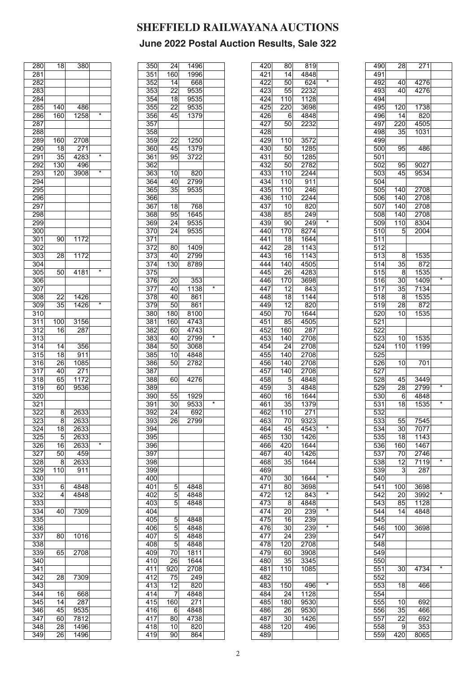| 280              | 18              | 380               |         |
|------------------|-----------------|-------------------|---------|
| 281              |                 |                   |         |
|                  |                 |                   |         |
| 282              |                 |                   |         |
| 283              |                 |                   |         |
| 284              |                 |                   |         |
| 285              | 140             | 486               |         |
| 286              | 160             | 1258              | *       |
|                  |                 |                   |         |
| 287              |                 |                   |         |
| 288              |                 |                   |         |
| 289              | 160             | 2708              |         |
| 290              | 18              | $\overline{271}$  |         |
| 291              | $\overline{35}$ | 4283              | ×       |
|                  |                 |                   |         |
| <u> 292</u>      | 130             | 496               |         |
| 293              | 120             | 3908              | $\star$ |
| 294              |                 |                   |         |
| 295              |                 |                   |         |
| 296              |                 |                   |         |
|                  |                 |                   |         |
| 297              |                 |                   |         |
| 298              |                 |                   |         |
| 299              |                 |                   |         |
| 300              |                 |                   |         |
|                  |                 |                   |         |
| $\overline{3}01$ | 90              | 1172              |         |
| 302              |                 |                   |         |
| 303              | 28              | 1172              |         |
| 304              |                 |                   |         |
| 305              | 50              | $\overline{4181}$ | ∗       |
|                  |                 |                   |         |
| 306              |                 |                   |         |
| 307              |                 |                   |         |
| $\overline{30}8$ | 22              | 1426              |         |
| $\overline{309}$ | $\overline{35}$ | 1426              | $\star$ |
| 310              |                 |                   |         |
|                  |                 |                   |         |
| 311              | 100             | 3156              |         |
| 312              | 16              | 287               |         |
| 313              |                 |                   |         |
| 314              | 14              | 356               |         |
|                  |                 |                   |         |
| 315              | 18              | 911               |         |
| $\overline{316}$ | $\overline{26}$ | 1085              |         |
| 317              | 40              | 271               |         |
| 318              | 65              | 1172              |         |
| 319              | 60              | 9536              |         |
|                  |                 |                   |         |
| 320              |                 |                   |         |
| 321              |                 |                   |         |
| 322              | 8               | 2633              |         |
| 323              | 8               | 2633              |         |
|                  |                 |                   |         |
| 324              | 18              | 2633              |         |
| 325              | 5               | 2633              |         |
| 326              | 16              | 2633              | $\star$ |
| 327              | 50              | 459               |         |
| 328              | 8               | 2633              |         |
|                  |                 |                   |         |
| 329              | 110             | $\overline{911}$  |         |
| 330              |                 |                   |         |
| 331              | 6               | 4848              |         |
| 332              | 4               | 4848              |         |
| 333              |                 |                   |         |
|                  |                 |                   |         |
| 334              | 40              | 7309              |         |
| 335              |                 |                   |         |
| $\overline{336}$ |                 |                   |         |
| 337              | 80              | 1016              |         |
| 338              |                 |                   |         |
|                  |                 |                   |         |
| 339              | 65              | 2708              |         |
| 340              |                 |                   |         |
| $\overline{341}$ |                 |                   |         |
| 342              | 28              | 7309              |         |
|                  |                 |                   |         |
| 343              |                 |                   |         |
| 344              | 16              | 668               |         |
| 345              | 4               | 287               |         |
| 346              | 45              | 9535              |         |
|                  |                 |                   |         |
| 347              | 60              | 7812              |         |
| $\overline{348}$ | 28              | 1496              |         |
| 349              | 26              | 1496              |         |

| $\overline{350}$ | 24              | 1496 |                   |
|------------------|-----------------|------|-------------------|
| 351              | 160             | 1996 |                   |
| 352              | 14              |      |                   |
|                  |                 | 668  |                   |
| 353              | 22              | 9535 |                   |
| 354              | 18              | 9535 |                   |
| $\overline{355}$ | $\overline{22}$ | 9535 |                   |
| 356              | 45              | 1379 |                   |
|                  |                 |      |                   |
| 357              |                 |      |                   |
| 358              |                 |      |                   |
| 359              | 22              | 1250 |                   |
| 360              | 45              | 1379 |                   |
| 361              | 95              | 3722 |                   |
| 362              |                 |      |                   |
| 363              |                 |      |                   |
|                  | $\overline{10}$ | 820  |                   |
| 364              | 40              | 2799 |                   |
| 365              | 35              | 9535 |                   |
| 366              |                 |      |                   |
| 367              | 18              | 768  |                   |
| 368              | 95              | 1645 |                   |
| 369              | 24              | 9535 |                   |
|                  |                 |      |                   |
| $\overline{370}$ | 24              | 9535 |                   |
| 371              |                 |      |                   |
| 372              | 80              | 1409 |                   |
| $\overline{373}$ | 40              | 2799 |                   |
| 374              | 130             | 8789 |                   |
|                  |                 |      |                   |
| 375              |                 |      |                   |
| 376              | 20              | 353  |                   |
| 377              | 40              | 1138 | ∗                 |
| 378              | 40              | 861  |                   |
| 379              | 50              | 861  |                   |
| 380              | 180             | 8100 |                   |
|                  |                 |      |                   |
| 381              | 160             | 4743 |                   |
| 382              | 60              | 4743 |                   |
| 383              | 40              | 2799 | *                 |
| 384              | 50              | 3068 |                   |
| 385              | 10              | 4848 |                   |
| 386              | 50              | 2782 |                   |
|                  |                 |      |                   |
| 387              |                 |      |                   |
| 388              | 60              | 4276 |                   |
| 389              |                 |      |                   |
| 390              | 55              | 1929 |                   |
| 391              | 30              | 9533 | $\overline{\ast}$ |
| 392              | 24              | 692  |                   |
|                  |                 |      |                   |
| 393              | 26              | 2799 |                   |
| 394              |                 |      |                   |
| $\overline{395}$ |                 |      |                   |
| 396              |                 |      |                   |
| 397              |                 |      |                   |
| 398              |                 |      |                   |
|                  |                 |      |                   |
| 399              |                 |      |                   |
| 400              |                 |      |                   |
| 401              | 5               | 4848 |                   |
| 402              | 5               | 4848 |                   |
| 403              | 5               | 4848 |                   |
| 404              |                 |      |                   |
| 405              | 5               | 4848 |                   |
|                  |                 |      |                   |
| 406              | 5               | 4848 |                   |
| 407              | 5               | 4848 |                   |
| 408              | 5               | 4848 |                   |
| 409              | 70              | 1811 |                   |
| 410              | 26              | 1644 |                   |
| 411              | 920             | 2708 |                   |
|                  |                 |      |                   |
| 412              | 75              | 249  |                   |
| 413              | 12              | 820  |                   |
| 414              | 7               | 4848 |                   |
| 415              | 160             | 271  |                   |
| 416              | 6               | 4848 |                   |
| 417              | 80              | 4738 |                   |
|                  |                 |      |                   |
| 418              | 10              | 820  |                   |
| 419              | 90              | 864  |                   |

| 420 | 80              | 819               |         |
|-----|-----------------|-------------------|---------|
| 421 | $\overline{14}$ | 4848              |         |
| 422 | 50              | 624               |         |
| 423 | 55              | 2232              |         |
| 424 | 110             | 1128              |         |
|     |                 |                   |         |
| 425 | 220             | 3698              |         |
| 426 | 6               | 4848              |         |
| 427 | 50              | 2232              |         |
| 428 |                 |                   |         |
| 429 | 110             | 3572              |         |
| 430 | 50              | 1285              |         |
|     |                 |                   |         |
| 431 | 50              | 1285              |         |
| 432 | 50              | 2782              |         |
| 433 | 110             | $22\overline{44}$ |         |
| 434 | 110             | 911               |         |
| 435 | 110             | 246               |         |
| 436 | 110             | 2244              |         |
| 437 | 10              | 820               |         |
|     |                 |                   |         |
| 438 | 85              | 249               |         |
| 439 | 90              | 249               | $\star$ |
| 440 | 170             | 8274              |         |
| 441 | 18              | 1644              |         |
| 442 | 28              | 1143              |         |
|     |                 |                   |         |
| 443 | 16              | 1143              |         |
| 444 | 140             | 4505              |         |
| 445 | 26              | 4283              |         |
| 446 | 170             | 3698              |         |
| 447 | 12              | 843               |         |
| 448 | $\overline{18}$ | 1144              |         |
|     |                 |                   |         |
| 449 | 12              | 820               |         |
| 450 | 70              | 1644              |         |
| 451 | 85              | 4505              |         |
| 452 | 160             | 287               |         |
| 453 | 140             | 2708              |         |
| 454 | 24              | 2708              |         |
|     |                 |                   |         |
| 455 | 140             | 2708              |         |
| 456 | 140             | 2708              |         |
| 457 | 140             | 2708              |         |
| 458 | 5               | 4848              |         |
| 459 | 3               | 4848              |         |
| 460 | 16              | 1644              |         |
| 461 | 35              | 1379              |         |
|     |                 |                   |         |
| 462 | 110             | 271               |         |
| 463 | 70              | 9323              |         |
| 464 | 45              | 4543              | $\star$ |
| 465 | 130             | 1426              |         |
| 466 | 420             | 1644              |         |
| 467 |                 |                   |         |
|     | 40              | 1426              |         |
| 468 | 35              | 1644              |         |
| 469 |                 |                   |         |
| 470 | 30              | 1644              | *       |
| 471 | 80              | 3698              |         |
| 472 | 12              | 843               | *       |
|     |                 | 4848              |         |
|     |                 |                   |         |
| 473 | 8               |                   |         |
| 474 | $\overline{20}$ | 239               | *       |
| 475 | 16              | 239               |         |
| 476 | 30              | 239               | $\star$ |
| 477 | $\overline{24}$ | 239               |         |
| 478 |                 | 2708              |         |
|     | 120             |                   |         |
| 479 | 60              | 3908              |         |
| 480 | 35              | 3345              |         |
| 481 | 110             | 1085              |         |
| 482 |                 |                   |         |
| 483 | 150             | 496               | $\star$ |
| 484 | 24              | 1128              |         |
|     |                 |                   |         |
| 485 | 180             | 9530              |         |
| 486 | 26              | 9530              |         |
| 487 | 30              | 1426              |         |
| 488 | 120             | 496               |         |

| 490 | $\overline{28}$ | $\overline{271}$ |         |
|-----|-----------------|------------------|---------|
| 491 |                 |                  |         |
| 492 | 40              | 4276             |         |
| 493 | 40              | 4276             |         |
| 494 |                 |                  |         |
| 495 | 120             | 1738             |         |
| 496 | 14              | 820              |         |
| 497 |                 |                  |         |
|     | 220             | 4505             |         |
| 498 | 35              | 1031             |         |
| 499 |                 |                  |         |
| 500 | 95              | 486              |         |
| 501 |                 |                  |         |
| 502 | 95              | 9027             |         |
| 503 | 45              | 9534             |         |
| 504 |                 |                  |         |
| 505 | 140             | 2708             |         |
| 506 | 140             | 2708             |         |
|     |                 |                  |         |
| 507 | 140             | 2708             |         |
| 508 | 140             | 2708             |         |
| 509 | 110             | 8304             |         |
| 510 | 5               | 2004             |         |
| 511 |                 |                  |         |
| 512 |                 |                  |         |
| 513 | 8               | 1535             |         |
| 514 | 35              | 872              |         |
| 515 |                 | 1535             |         |
|     | 8               |                  | $\star$ |
| 516 | 30 <sup>1</sup> | 1409             |         |
| 517 | 35              | 7134             |         |
| 518 | 8               | 1535             |         |
| 519 | 28              | 872              |         |
| 520 | 10              | 1535             |         |
| 521 |                 |                  |         |
| 522 |                 |                  |         |
| 523 | 10              | 1535             |         |
|     |                 |                  |         |
| 524 | 110             | 1199             |         |
| 525 |                 |                  |         |
| 526 | 10              | 701              |         |
| 527 |                 |                  |         |
| 528 | 45              | 3449             |         |
| 529 | 28              | 2799             | $\star$ |
| 530 | 6               | 4848             |         |
| 531 | $\overline{18}$ | 1535             | $\star$ |
| 532 |                 |                  |         |
|     |                 |                  |         |
| 533 | $\overline{55}$ | 7545             |         |
| 534 | $\overline{30}$ | 7077             |         |
| 535 | 18              | 1143             |         |
| 536 | 160             | 1467             |         |
| 537 | 70              | 2746             |         |
| 538 | 12              | 7119             | $\star$ |
| 539 | 3               | 287              |         |
| 540 |                 |                  |         |
|     |                 |                  |         |
| 541 | 100             | 3698             | *       |
| 542 | 20              | 3992             |         |
| 543 | 85              | 1128             |         |
| 544 | 14              | 4848             |         |
| 545 |                 |                  |         |
| 546 | 100             | 3698             |         |
| 547 |                 |                  |         |
| 548 |                 |                  |         |
| 549 |                 |                  |         |
|     |                 |                  |         |
| 550 |                 |                  | *       |
| 551 | 30              | 4734             |         |
| 552 |                 |                  |         |
| 553 | 18              | 466              |         |
| 554 |                 |                  |         |
| 555 | 10              | 692              |         |
| 556 | 35              | 466              |         |
| 557 | 22              | 692              |         |
| 558 |                 |                  |         |
|     | 9               | 353              |         |
| 559 | 420             | 8065             |         |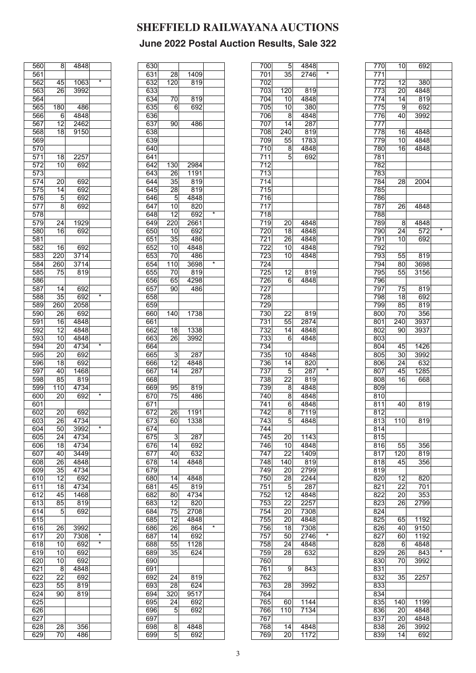| 560              | 8                | 4848 |                   |
|------------------|------------------|------|-------------------|
| 561              |                  |      |                   |
| 562              | 45               | 1063 | 7                 |
|                  |                  | 3992 |                   |
| 563              | $\overline{26}$  |      |                   |
| 564              |                  |      |                   |
| 565              | 180              | 486  |                   |
| 566              | 6                | 4848 |                   |
| 567              | $\overline{12}$  | 2462 |                   |
|                  |                  |      |                   |
| 568              | 18               | 9150 |                   |
| 569              |                  |      |                   |
| 570              |                  |      |                   |
| 571              | 18               | 2257 |                   |
| 572              | 10               | 692  |                   |
| 573              |                  |      |                   |
|                  |                  |      |                   |
| 574              | 20               | 692  |                   |
| 575              | 14               | 692  |                   |
| 576              | 5                | 692  |                   |
| 577              | 8                | 692  |                   |
| 578              |                  |      |                   |
| 579              | 24               | 1929 |                   |
|                  |                  |      |                   |
| 580              | 16               | 692  |                   |
| 581              |                  |      |                   |
| 582              | 16               | 692  |                   |
| 583              | 220              | 3714 |                   |
| 584              | 260              | 3714 |                   |
|                  |                  |      |                   |
| 585              | 75               | 819  |                   |
| 586              |                  |      |                   |
| $\overline{587}$ | $\overline{14}$  | 692  |                   |
| 588              | 35               | 692  | $\overline{\ast}$ |
| 589              | $\overline{2}60$ | 2058 |                   |
| 590              | $\frac{26}{5}$   | 692  |                   |
|                  |                  |      |                   |
| 591              | 16               | 4848 |                   |
| 592              | $\overline{12}$  | 4848 |                   |
| 593              | $\overline{10}$  | 4848 |                   |
| 594              | 20               | 4734 | $\star$           |
| 595              | 20               | 692  |                   |
| 596              |                  |      |                   |
|                  | 18               | 692  |                   |
| 597              | 40               | 1468 |                   |
| 598              | 85               | 819  |                   |
| 599              | $\overline{110}$ | 4734 |                   |
| 600              | 20               | 692  | $\star$           |
| 601              |                  |      |                   |
|                  |                  |      |                   |
| 602              | 20 <sup>°</sup>  | 692  |                   |
| 603              | 26               | 4734 |                   |
| 604              | 50               | 3992 | $\star$           |
| 605              | 24               | 4734 |                   |
| 606              | 18               | 4734 |                   |
|                  |                  |      |                   |
| 607              | 40               | 3449 |                   |
| 608              | 26               | 4848 |                   |
| 609              | 35               | 4734 |                   |
| 610              | 12               | 692  |                   |
| 611              | 18               | 4734 |                   |
|                  | 45               | 1468 |                   |
| 612              |                  |      |                   |
| 613              | 85               | 819  |                   |
| 614              | $\bar{5}$        | 692  |                   |
| 615              |                  |      |                   |
| 616              | 26               | 3992 |                   |
| 617              | $\overline{2}0$  | 7308 | *                 |
|                  |                  |      | *                 |
| 618              | 10               | 692  |                   |
| 619              | 10               | 692  |                   |
| 620              | 10               | 692  |                   |
| 621              | 8                | 4848 |                   |
| 622              | 22               | 692  |                   |
|                  |                  |      |                   |
| 623              | 55               | 819  |                   |
| 624              | 90               | 819  |                   |
| 625              |                  |      |                   |
| 626              |                  |      |                   |
|                  |                  |      |                   |
| 627              |                  |      |                   |
| 628              | 28               | 356  |                   |
| 629              | 70               | 486  |                   |

| 630              |                 |             |         |
|------------------|-----------------|-------------|---------|
| 631              | 28              | 1409        |         |
|                  |                 |             |         |
| 632              | 120             | 819         |         |
| 633              |                 |             |         |
| 634              | 70              | 819         |         |
|                  |                 |             |         |
| 635              | 6               | 692         |         |
| 636              |                 |             |         |
| 637              | 90              | 486         |         |
|                  |                 |             |         |
| 638              |                 |             |         |
| 639              |                 |             |         |
| 640              |                 |             |         |
|                  |                 |             |         |
| 641              |                 |             |         |
| 642              | 130             | 2984        |         |
| 643              |                 | 1191        |         |
|                  | 26              |             |         |
| $\overline{644}$ | 35              | 819         |         |
| 645              | 28              | 819         |         |
| 646              | 5               | 4848        |         |
|                  |                 |             |         |
| 647              | 10              | 820         |         |
| 648              | 12              | 692         | ×       |
| 649              | 220             | 2661        |         |
|                  |                 |             |         |
| 650              | 10              | 692         |         |
| 651              | 35              | 486         |         |
| 652              | $\overline{10}$ | 4848        |         |
|                  |                 |             |         |
| 653              | 70              | 486         |         |
| 654              | 110             | 3698        | $\star$ |
|                  |                 |             |         |
| 655              | 70              | 819         |         |
| 656              | 65              | 4298        |         |
| 657              | 90              | 486         |         |
|                  |                 |             |         |
| 658              |                 |             |         |
| 659              |                 |             |         |
| 660              | 140             | 1738        |         |
|                  |                 |             |         |
| 661              |                 |             |         |
| 662              | 18              | 1338        |         |
| 663              | $\overline{2}6$ | 3992        |         |
|                  |                 |             |         |
| 664              |                 |             |         |
| 665              | 3               | 287         |         |
| 666              | 12              | 4848        |         |
| 667              | 14              | 287         |         |
|                  |                 |             |         |
| 668              |                 |             |         |
| 669              | 95              | 819         |         |
|                  |                 |             |         |
|                  |                 |             |         |
| 670              | 75              | 486         |         |
| 671              |                 |             |         |
|                  |                 |             |         |
| 672              | $\frac{26}{5}$  | 1191        |         |
| 673              | 60              | 1338        |         |
| 674              |                 |             |         |
| 675              | 3               | 287         |         |
|                  |                 |             |         |
| 676              | 14              | 692         |         |
| 677              | 40              | 632         |         |
| 678              | 14              | 4848        |         |
|                  |                 |             |         |
| 679              |                 |             |         |
| 680              | 14              | 4848        |         |
| 681              | 45              | 819         |         |
|                  |                 |             |         |
| 682              | 80              | 4734        |         |
| 683              | 12              | 820         |         |
| 684              | 75              | 2708        |         |
|                  |                 |             |         |
| 685              | 12              | 4848        |         |
| 686              | 26              | 864         | *       |
| 687              | 14              | 692         |         |
|                  |                 |             |         |
| 688              | 55              | 1128        |         |
| 689              | 35              | 624         |         |
| 690              |                 |             |         |
|                  |                 |             |         |
| 691              |                 |             |         |
| 692              | 24              | 819         |         |
| 693              | 28              | 624         |         |
|                  |                 |             |         |
| 694              | 320             | 9517        |         |
| 695              | 24              | 692         |         |
| 696              | 5               | 692         |         |
|                  |                 |             |         |
| 697              |                 |             |         |
| 698<br>699       | 8<br>5          | 4848<br>692 |         |

| 700               | 5 <sup>5</sup>   | 4848             |                   |
|-------------------|------------------|------------------|-------------------|
| 701               | 35               | $\frac{27}{46}$  | $\overline{\ast}$ |
| 702               |                  |                  |                   |
| 703               | $\overline{120}$ | 819              |                   |
| 704               | 10               | 4848             |                   |
| 705               | $\overline{10}$  | 380              |                   |
| 706               | 8                | 4848             |                   |
| 707               | 14               | 287              |                   |
| 708               | $\overline{240}$ | 819              |                   |
|                   |                  |                  |                   |
| 709               | 55               | 1783             |                   |
| 710               | 8                | 4848             |                   |
| 711               | 5                | 692              |                   |
| 712               |                  |                  |                   |
| $\overline{713}$  |                  |                  |                   |
| 714               |                  |                  |                   |
| $\overline{715}$  |                  |                  |                   |
| 716               |                  |                  |                   |
| $\overline{717}$  |                  |                  |                   |
| $\overline{718}$  |                  |                  |                   |
| 719               | 20               | 4848             |                   |
| $\overline{7}20$  | 18               | 4848             |                   |
| 721               | 26               | 4848             |                   |
| 722               |                  |                  |                   |
|                   | 10               | 4848             |                   |
| 723               | 10               | 4848             |                   |
| 724               |                  |                  |                   |
| 725               | 12               | 819              |                   |
| 726               | 6                | 4848             |                   |
| 727               |                  |                  |                   |
| 728               |                  |                  |                   |
| 729               |                  |                  |                   |
| 730               | 22               | 819              |                   |
| 731               | 55               | 2874             |                   |
| 732               | 14               | 4848             |                   |
| 733               | 6                | 4848             |                   |
|                   |                  |                  |                   |
| 734               |                  |                  |                   |
| 735               | 10               | 4848             |                   |
| 736               | 14               | 820              |                   |
| 737               | 5                | 287              | $\star$           |
| 738               | 22               | $\overline{819}$ |                   |
| 739               | 8                | 4848             |                   |
| $\frac{1}{740}$   | 8                | 4848             |                   |
| $\overline{7}$ 41 | 6                | 4848             |                   |
| 742               | 8                | 7119             |                   |
| $\overline{743}$  | $\overline{5}$   | 4848             |                   |
| 744               |                  |                  |                   |
| 745               | 20               | 1143             |                   |
| 746               |                  |                  |                   |
|                   | 10               | 4848             |                   |
| 747               | $\overline{22}$  | 1409             |                   |
| 748               | 140              | 819              |                   |
| 749               | 20               | 2799             |                   |
| 750               | 28               | 2244             |                   |
| 751               | $\overline{5}$   | 287              |                   |
| 752               | 12               | 4848             |                   |
| 753               | 22               | 2257             |                   |
| 754               | 20               | 7308             |                   |
| 755               | 20               | 4848             |                   |
| 756               | 18               | 7308             |                   |
| 757               | 50               | 2746             | *                 |
| 758               | 24               | 4848             |                   |
|                   |                  |                  |                   |
| 759               | 28               | 632              |                   |
| 760               |                  |                  |                   |
| 761               | 9                | 843              |                   |
| 762               |                  |                  |                   |
| 763               | 28               | 3992             |                   |
| 764               |                  |                  |                   |
| 765               | 60               | 1144             |                   |
| 766               | 110              | 7134             |                   |
| 767               |                  |                  |                   |
| 768               | 14               | 4848             |                   |
| 769               | 20               | 1172             |                   |
|                   |                  |                  |                   |

| 770              | 10               | 692              |         |
|------------------|------------------|------------------|---------|
| 771              |                  |                  |         |
| 772              | 12               | 380              |         |
| 773              | 20 <sup>1</sup>  | 4848             |         |
| 774              | 14               | 819              |         |
| 775              | -9               | 692              |         |
|                  |                  |                  |         |
| 776              | 40               | 3992             |         |
| 777              |                  |                  |         |
| $\overline{778}$ | 16               | 4848             |         |
| 779              | 10               | 4848             |         |
| 780              | 16               | 4848             |         |
| 781              |                  |                  |         |
| 782              |                  |                  |         |
| 783              |                  |                  |         |
| 784              | 28               | 2004             |         |
| 785              |                  |                  |         |
|                  |                  |                  |         |
| 786              |                  |                  |         |
| 787              | 26               | 4848             |         |
| 788              |                  |                  |         |
| 789              | 8                | 4848             |         |
| 790              | 24               | 572              | $\star$ |
| 791              | 10               | 692              |         |
| 792              |                  |                  |         |
| 793              |                  | 819              |         |
|                  | 55               |                  |         |
| 794              | 80               | 3698             |         |
| 795              | 55               | 3156             |         |
| 796              |                  |                  |         |
| 797              | 75               | 819              |         |
| 798              | 18               | 692              |         |
| 799              | 85               | $\overline{819}$ |         |
| 800              | 70               | 356              |         |
| 801              | 240              | 3937             |         |
|                  |                  | 3937             |         |
| 802              | 90               |                  |         |
| 803              |                  |                  |         |
| 804              | 45               | 1426             |         |
| 805              | 30               | 3992             |         |
| 806              | 24               | 632              |         |
| 807              | 45               | 1285             |         |
| 808              | 16               | 668              |         |
| 809              |                  |                  |         |
| 810              |                  |                  |         |
|                  |                  |                  |         |
| $\overline{811}$ | 40               | 819              |         |
| 812              |                  |                  |         |
| $\overline{813}$ | $\overline{110}$ | $\overline{819}$ |         |
| 814              |                  |                  |         |
| 815              |                  |                  |         |
| 816              | 55               | 356              |         |
| 817              | 120              | 819              |         |
| 818              | 45               | 356              |         |
| 819              |                  |                  |         |
|                  |                  |                  |         |
| 820              | 12               | 820              |         |
| 821              | 22               | 701              |         |
| 822              | 20               | 353              |         |
| 823              | 26               | 2799             |         |
| 824              |                  |                  |         |
| 825              | 65               | 1192             |         |
| 826              | 40               | 9150             |         |
| 827              | 60               | 1192             |         |
|                  |                  |                  |         |
| 828              | - 6              | 4848             | *       |
| 829              | 26               | 843              |         |
| 830              | 70               | 3992             |         |
| 831              |                  |                  |         |
| 832              | 35               | 2257             |         |
| 833              |                  |                  |         |
| 834              |                  |                  |         |
| 835              | 140              | 1199             |         |
|                  |                  |                  |         |
| 836              | 20               | 4848             |         |
| 837              | 20               | 4848             |         |
| 838              | 26               | 3992             |         |
| 839              | 14               | 692              |         |
|                  |                  |                  |         |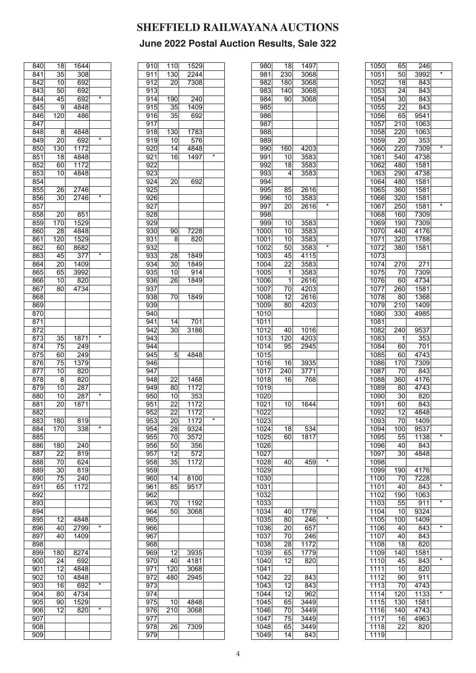| 840<br>18<br>1644<br>35<br>841<br>308<br>842<br>10<br>692<br>843<br>50<br>692<br>*<br>45<br>844<br>692<br>845<br>4848<br>9<br>846<br>120<br>486<br>847<br>848<br>8<br>4848<br>$\overline{\ast}$<br>849<br>20<br>692<br>130<br>1172<br>850<br>$\overline{18}$<br>851<br>4848<br>852<br>1172<br>60<br>4848<br>853<br>10<br>854<br>855<br>26<br>2746<br>$\star$<br>856<br>2746<br>30 |  |
|-----------------------------------------------------------------------------------------------------------------------------------------------------------------------------------------------------------------------------------------------------------------------------------------------------------------------------------------------------------------------------------|--|
|                                                                                                                                                                                                                                                                                                                                                                                   |  |
|                                                                                                                                                                                                                                                                                                                                                                                   |  |
|                                                                                                                                                                                                                                                                                                                                                                                   |  |
|                                                                                                                                                                                                                                                                                                                                                                                   |  |
|                                                                                                                                                                                                                                                                                                                                                                                   |  |
|                                                                                                                                                                                                                                                                                                                                                                                   |  |
|                                                                                                                                                                                                                                                                                                                                                                                   |  |
|                                                                                                                                                                                                                                                                                                                                                                                   |  |
|                                                                                                                                                                                                                                                                                                                                                                                   |  |
|                                                                                                                                                                                                                                                                                                                                                                                   |  |
|                                                                                                                                                                                                                                                                                                                                                                                   |  |
|                                                                                                                                                                                                                                                                                                                                                                                   |  |
|                                                                                                                                                                                                                                                                                                                                                                                   |  |
|                                                                                                                                                                                                                                                                                                                                                                                   |  |
|                                                                                                                                                                                                                                                                                                                                                                                   |  |
|                                                                                                                                                                                                                                                                                                                                                                                   |  |
|                                                                                                                                                                                                                                                                                                                                                                                   |  |
|                                                                                                                                                                                                                                                                                                                                                                                   |  |
|                                                                                                                                                                                                                                                                                                                                                                                   |  |
| 857                                                                                                                                                                                                                                                                                                                                                                               |  |
| 20<br>851<br>858                                                                                                                                                                                                                                                                                                                                                                  |  |
| 859<br>1529<br>170                                                                                                                                                                                                                                                                                                                                                                |  |
| 860<br>28<br>4848                                                                                                                                                                                                                                                                                                                                                                 |  |
| 861<br>120<br>1529                                                                                                                                                                                                                                                                                                                                                                |  |
| 60<br>8682<br>862                                                                                                                                                                                                                                                                                                                                                                 |  |
| $\star$<br>45<br>377<br>863                                                                                                                                                                                                                                                                                                                                                       |  |
|                                                                                                                                                                                                                                                                                                                                                                                   |  |
| 864<br>$\overline{20}$<br>1409                                                                                                                                                                                                                                                                                                                                                    |  |
| 3992<br>865<br>65                                                                                                                                                                                                                                                                                                                                                                 |  |
| 866<br>10<br>820                                                                                                                                                                                                                                                                                                                                                                  |  |
| 4734<br>867<br>80                                                                                                                                                                                                                                                                                                                                                                 |  |
| 868                                                                                                                                                                                                                                                                                                                                                                               |  |
| 869                                                                                                                                                                                                                                                                                                                                                                               |  |
| 870                                                                                                                                                                                                                                                                                                                                                                               |  |
| 871                                                                                                                                                                                                                                                                                                                                                                               |  |
| 872                                                                                                                                                                                                                                                                                                                                                                               |  |
| $\overline{\ast}$                                                                                                                                                                                                                                                                                                                                                                 |  |
| 873<br>35<br>1871                                                                                                                                                                                                                                                                                                                                                                 |  |
| 874<br>75<br>249                                                                                                                                                                                                                                                                                                                                                                  |  |
| 875<br>249<br>60                                                                                                                                                                                                                                                                                                                                                                  |  |
| 1379<br>876<br>75                                                                                                                                                                                                                                                                                                                                                                 |  |
| 820<br>877<br>10                                                                                                                                                                                                                                                                                                                                                                  |  |
| 8<br>820<br>878                                                                                                                                                                                                                                                                                                                                                                   |  |
| 10<br>879<br>287                                                                                                                                                                                                                                                                                                                                                                  |  |
| $\star$<br>880<br>10<br>287                                                                                                                                                                                                                                                                                                                                                       |  |
| 20<br>881<br>1871                                                                                                                                                                                                                                                                                                                                                                 |  |
| 882                                                                                                                                                                                                                                                                                                                                                                               |  |
|                                                                                                                                                                                                                                                                                                                                                                                   |  |
| 883<br>180<br>819<br>×                                                                                                                                                                                                                                                                                                                                                            |  |
| 884<br>170<br>338                                                                                                                                                                                                                                                                                                                                                                 |  |
| 885                                                                                                                                                                                                                                                                                                                                                                               |  |
|                                                                                                                                                                                                                                                                                                                                                                                   |  |
| 886<br>180<br>240                                                                                                                                                                                                                                                                                                                                                                 |  |
| 22<br>887<br>819                                                                                                                                                                                                                                                                                                                                                                  |  |
| 624<br>888<br>70                                                                                                                                                                                                                                                                                                                                                                  |  |
| 889<br>30<br>819                                                                                                                                                                                                                                                                                                                                                                  |  |
|                                                                                                                                                                                                                                                                                                                                                                                   |  |
| 890<br>75<br>240                                                                                                                                                                                                                                                                                                                                                                  |  |
| 1172<br>891<br>65                                                                                                                                                                                                                                                                                                                                                                 |  |
| 892                                                                                                                                                                                                                                                                                                                                                                               |  |
| 893                                                                                                                                                                                                                                                                                                                                                                               |  |
| 894                                                                                                                                                                                                                                                                                                                                                                               |  |
| 895<br>12<br>4848                                                                                                                                                                                                                                                                                                                                                                 |  |
| $\overline{\ast}$<br>896<br>40<br>2799                                                                                                                                                                                                                                                                                                                                            |  |
| 1409<br>897<br>40                                                                                                                                                                                                                                                                                                                                                                 |  |
| 898                                                                                                                                                                                                                                                                                                                                                                               |  |
| 899<br>180                                                                                                                                                                                                                                                                                                                                                                        |  |
| 8274                                                                                                                                                                                                                                                                                                                                                                              |  |
| 24<br>900<br>692                                                                                                                                                                                                                                                                                                                                                                  |  |
| 12<br>901<br>4848                                                                                                                                                                                                                                                                                                                                                                 |  |
| 4848<br>902<br>10                                                                                                                                                                                                                                                                                                                                                                 |  |
| $\star$<br>903<br>16<br>692                                                                                                                                                                                                                                                                                                                                                       |  |
| 4734<br>80<br>904                                                                                                                                                                                                                                                                                                                                                                 |  |
| 905<br>90<br>1529                                                                                                                                                                                                                                                                                                                                                                 |  |
| *<br>906<br>12<br>820                                                                                                                                                                                                                                                                                                                                                             |  |
| 907                                                                                                                                                                                                                                                                                                                                                                               |  |
| 908                                                                                                                                                                                                                                                                                                                                                                               |  |

|                  |                  | 1529             |         |
|------------------|------------------|------------------|---------|
| 910              | 110              |                  |         |
| 911              | 130              | 2244             |         |
| 912              | $\overline{20}$  | 7308             |         |
|                  |                  |                  |         |
| 913              |                  |                  |         |
| 914              | 190              | 240              |         |
| 915              | 35               | 1409             |         |
|                  |                  |                  |         |
| 916              | $\overline{35}$  | 692              |         |
| $\overline{917}$ |                  |                  |         |
| 918              | 130              | 1783             |         |
|                  |                  |                  |         |
| 919              | $\overline{10}$  | 576              |         |
| 920              | 14               | 4848             |         |
| 921              | 16               | 1497             | $\star$ |
|                  |                  |                  |         |
| 922              |                  |                  |         |
| 923              |                  |                  |         |
| $92\overline{4}$ | 20               | 692              |         |
|                  |                  |                  |         |
| 925              |                  |                  |         |
| 926              |                  |                  |         |
| 927              |                  |                  |         |
|                  |                  |                  |         |
| 928              |                  |                  |         |
| 929              |                  |                  |         |
| 930              | 90               | 7228             |         |
|                  |                  |                  |         |
| 931              | 8                | 820              |         |
| 932              |                  |                  |         |
| 9331             | 28               | 1849             |         |
|                  |                  |                  |         |
| 934              | 30               | 1849             |         |
| 935              | 10               | 914              |         |
| 936              | 26               | 1849             |         |
|                  |                  |                  |         |
| 937              |                  |                  |         |
| 938              | 70               | 1849             |         |
| 939              |                  |                  |         |
|                  |                  |                  |         |
| 940              |                  |                  |         |
| 941              | 14               | 701              |         |
| 942              | 30               | 3186             |         |
|                  |                  |                  |         |
| 943              |                  |                  |         |
| 944              |                  |                  |         |
| 945              | 5                | 4848             |         |
|                  |                  |                  |         |
| 946              |                  |                  |         |
| 947              |                  |                  |         |
| 948              | 22               | 1468             |         |
|                  |                  |                  |         |
| 949              | 80               | 1172             |         |
| 950              | 10               | 353              |         |
| 951              | $\overline{22}$  | 1172             |         |
|                  |                  |                  |         |
| 952              | 22               | 1172             |         |
| 953              | 20               | 1172             | *       |
| 954              | 28               | 9324             |         |
| 955              |                  | 3572             |         |
|                  | 70               |                  |         |
| 956              | 50               | 356              |         |
| 957              | 12               | 572              |         |
|                  |                  | 1172             |         |
| 958              | 35               |                  |         |
| 959              |                  |                  |         |
| 960              | 14               | 8100             |         |
| 961              | 85               | $\frac{1}{9517}$ |         |
|                  |                  |                  |         |
| 962              |                  |                  |         |
| 963              | 70               | 1192             |         |
| 964              | 50               | 3068             |         |
|                  |                  |                  |         |
| 965              |                  |                  |         |
| 966              |                  |                  |         |
| 967              |                  |                  |         |
|                  |                  |                  |         |
| 968              |                  |                  |         |
| 969              | 12               | 3935             |         |
| 970              | 40               | 4181             |         |
|                  |                  |                  |         |
| 971              | 120              | 3068             |         |
| 972              | 480              | 2945             |         |
| $9\overline{7}3$ |                  |                  |         |
|                  |                  |                  |         |
| $97\overline{4}$ |                  |                  |         |
| 975              | 10               | 4848             |         |
| 976              | $\overline{210}$ | 3068             |         |
|                  |                  |                  |         |
| 977              |                  |                  |         |
| 978              | 26               | 7309             |         |
| 979              |                  |                  |         |

| 980  | 18              | 1497              |   |
|------|-----------------|-------------------|---|
| 981  | 230             | 3068              |   |
| 982  | 180             | 3068              |   |
| 983  | 140             | 3068              |   |
| 984  | 90              | 3068              |   |
| 985  |                 |                   |   |
| 986  |                 |                   |   |
| 987  |                 |                   |   |
| 988  |                 |                   |   |
| 989  |                 |                   |   |
| 990  | 160             | 4203              |   |
| 991  | 10              | 3583              |   |
| 992  | 18              | 3583              |   |
| 993  | $\overline{4}$  | 3583              |   |
| 994  |                 |                   |   |
| 995  | 85              | 2616              |   |
| 996  | 10              | 3583              |   |
| 997  | 20              | 2616              | * |
| 998  |                 |                   |   |
| 999  | 10              | 3583              |   |
| 1000 | 10              | 3583              |   |
| 1001 | 10              | 3583              |   |
| 1002 | 50              | 3583              | * |
| 1003 | 45              | 4115              |   |
| 1004 | $\overline{22}$ | 3583              |   |
| 1005 | 1               | 3583              |   |
|      | $\overline{1}$  | 2616              |   |
| 1006 |                 |                   |   |
| 1007 | 70              | 4203              |   |
| 1008 | 12              | 2616              |   |
| 1009 | 80              | 4203              |   |
| 1010 |                 |                   |   |
| 1011 |                 |                   |   |
| 1012 | 40              | 1016              |   |
| 1013 | 120             | 4203              |   |
| 1014 | 95              | 2945              |   |
| 1015 |                 |                   |   |
| 1016 | 16              | 3935              |   |
| 1017 | 240             | 3771              |   |
| 1018 | 16              | 768               |   |
| 1019 |                 |                   |   |
| 1020 |                 |                   |   |
| 1021 | 10              | 1644              |   |
| 1022 |                 |                   |   |
| 1023 |                 |                   |   |
| 1024 | 18              | 534               |   |
| 1025 | 60              | $\frac{1}{18}$ 17 |   |
| 1026 |                 |                   |   |
| 1027 |                 |                   |   |
| 1028 | 40              | 459               | * |
| 1029 |                 |                   |   |
| 1030 |                 |                   |   |
| 1031 |                 |                   |   |
| 1032 |                 |                   |   |
| 1033 |                 |                   |   |
|      |                 |                   |   |
| 1034 | 40              | 1779              | * |
| 1035 | 80              | 246               |   |
| 1036 | 20              | 657               |   |
| 1037 | 70              | 246               |   |
| 1038 | 28              | 1172              |   |
| 1039 | 65              | 1779              |   |
| 1040 | 12              | 820               |   |
|      |                 |                   |   |
| 1041 |                 |                   |   |
| 1042 | 22              | 843               |   |
| 1043 | 12              | 843               |   |
| 1044 | 12              | 962               |   |
| 1045 | 65              | 3449              |   |
| 1046 | 70              | 3449              |   |
| 1047 | 75              | 3449              |   |
| 1048 | 65              | 3449              |   |

| 1052<br>843<br>18<br>1053<br>24<br>843<br>843<br>1054<br>30<br>$\overline{22}$<br>843<br>1055<br>65<br>$\overline{9}541$<br>1056<br>$\overline{210}$<br>1057<br>1063<br>220<br>1063<br>1058<br>$\overline{20}$<br>1059<br>353<br>$\star$<br>7309<br>1060<br>220<br>4738<br>1061<br>540<br>1062<br>480<br>1581<br>4738<br>1063<br>290<br>1064<br>480<br>1581<br>360<br>1581<br>1065<br>320<br>1581<br>1066<br>$\overline{\ast}$<br>$\overline{250}$<br>1581<br>1067<br>7309<br>1068<br>160<br>7309<br>1069<br>190<br>1070<br>440<br>4176<br>1071<br>320<br>1788<br>1581<br>1072<br>380<br>1073<br>1074<br>270<br>271<br>1075<br>7309<br>70<br>1076<br>4734<br><b>60</b><br>1077<br>260<br>1581<br>1078<br>$\overline{80}$<br>1368<br>1079<br>$\overline{210}$<br>1409<br>330<br>4985<br>1080<br>1081<br>1082<br>9537<br>240<br>1083<br>1<br>353<br>1084<br>701<br>60<br>4743<br>1085<br>60<br>7309<br>1086<br>170<br>1087<br>843<br>70<br>1088<br>360<br>4176<br>1089<br>4743<br>80<br>30<br>1090<br>820<br>1091<br>843<br>60<br>1092<br>12<br>4848<br>1093<br>70<br>1409<br>9537<br>100<br>1094<br>*<br>1095<br>55<br>1138<br>1096<br>843<br>40<br>30<br>1097<br>4848<br>1098<br>1099<br>190<br>4176<br>7228<br>1100<br>70<br>*<br>1101<br>40<br>843<br>1102<br>1063<br>190<br>*<br>$\overline{5}5$<br>911<br>1103<br>1104<br>10<br>9324<br>1105<br>100<br>1409<br>*<br>1106<br>40<br>843<br>1107<br>40<br>843<br>1108<br>820<br>18<br>1109<br>140<br>1581<br>*<br>1110<br>45<br>843<br>1111<br>820<br>10<br>1112<br>911<br>90<br>1113<br>4743<br>70<br>*<br>120<br>1133<br>1114<br>$\overline{1}115$<br>130<br>1581<br>1116<br>140<br>4743<br>1117<br>16<br>4963<br>22<br>820<br>1118<br>1119 | 1050 | 65              | 246  |                   |
|------------------------------------------------------------------------------------------------------------------------------------------------------------------------------------------------------------------------------------------------------------------------------------------------------------------------------------------------------------------------------------------------------------------------------------------------------------------------------------------------------------------------------------------------------------------------------------------------------------------------------------------------------------------------------------------------------------------------------------------------------------------------------------------------------------------------------------------------------------------------------------------------------------------------------------------------------------------------------------------------------------------------------------------------------------------------------------------------------------------------------------------------------------------------------------------------------------------------------------------------------------------------------------------------------------------------------------------------------------------------------------------------------------------------------------------------------------------------------------------------------------------------------------------------------------------------------------------------------------------------------------------------------------------------------------------------|------|-----------------|------|-------------------|
|                                                                                                                                                                                                                                                                                                                                                                                                                                                                                                                                                                                                                                                                                                                                                                                                                                                                                                                                                                                                                                                                                                                                                                                                                                                                                                                                                                                                                                                                                                                                                                                                                                                                                                | 1051 | $\overline{50}$ | 3992 | $\overline{\ast}$ |
|                                                                                                                                                                                                                                                                                                                                                                                                                                                                                                                                                                                                                                                                                                                                                                                                                                                                                                                                                                                                                                                                                                                                                                                                                                                                                                                                                                                                                                                                                                                                                                                                                                                                                                |      |                 |      |                   |
|                                                                                                                                                                                                                                                                                                                                                                                                                                                                                                                                                                                                                                                                                                                                                                                                                                                                                                                                                                                                                                                                                                                                                                                                                                                                                                                                                                                                                                                                                                                                                                                                                                                                                                |      |                 |      |                   |
|                                                                                                                                                                                                                                                                                                                                                                                                                                                                                                                                                                                                                                                                                                                                                                                                                                                                                                                                                                                                                                                                                                                                                                                                                                                                                                                                                                                                                                                                                                                                                                                                                                                                                                |      |                 |      |                   |
|                                                                                                                                                                                                                                                                                                                                                                                                                                                                                                                                                                                                                                                                                                                                                                                                                                                                                                                                                                                                                                                                                                                                                                                                                                                                                                                                                                                                                                                                                                                                                                                                                                                                                                |      |                 |      |                   |
|                                                                                                                                                                                                                                                                                                                                                                                                                                                                                                                                                                                                                                                                                                                                                                                                                                                                                                                                                                                                                                                                                                                                                                                                                                                                                                                                                                                                                                                                                                                                                                                                                                                                                                |      |                 |      |                   |
|                                                                                                                                                                                                                                                                                                                                                                                                                                                                                                                                                                                                                                                                                                                                                                                                                                                                                                                                                                                                                                                                                                                                                                                                                                                                                                                                                                                                                                                                                                                                                                                                                                                                                                |      |                 |      |                   |
|                                                                                                                                                                                                                                                                                                                                                                                                                                                                                                                                                                                                                                                                                                                                                                                                                                                                                                                                                                                                                                                                                                                                                                                                                                                                                                                                                                                                                                                                                                                                                                                                                                                                                                |      |                 |      |                   |
|                                                                                                                                                                                                                                                                                                                                                                                                                                                                                                                                                                                                                                                                                                                                                                                                                                                                                                                                                                                                                                                                                                                                                                                                                                                                                                                                                                                                                                                                                                                                                                                                                                                                                                |      |                 |      |                   |
|                                                                                                                                                                                                                                                                                                                                                                                                                                                                                                                                                                                                                                                                                                                                                                                                                                                                                                                                                                                                                                                                                                                                                                                                                                                                                                                                                                                                                                                                                                                                                                                                                                                                                                |      |                 |      |                   |
|                                                                                                                                                                                                                                                                                                                                                                                                                                                                                                                                                                                                                                                                                                                                                                                                                                                                                                                                                                                                                                                                                                                                                                                                                                                                                                                                                                                                                                                                                                                                                                                                                                                                                                |      |                 |      |                   |
|                                                                                                                                                                                                                                                                                                                                                                                                                                                                                                                                                                                                                                                                                                                                                                                                                                                                                                                                                                                                                                                                                                                                                                                                                                                                                                                                                                                                                                                                                                                                                                                                                                                                                                |      |                 |      |                   |
|                                                                                                                                                                                                                                                                                                                                                                                                                                                                                                                                                                                                                                                                                                                                                                                                                                                                                                                                                                                                                                                                                                                                                                                                                                                                                                                                                                                                                                                                                                                                                                                                                                                                                                |      |                 |      |                   |
|                                                                                                                                                                                                                                                                                                                                                                                                                                                                                                                                                                                                                                                                                                                                                                                                                                                                                                                                                                                                                                                                                                                                                                                                                                                                                                                                                                                                                                                                                                                                                                                                                                                                                                |      |                 |      |                   |
|                                                                                                                                                                                                                                                                                                                                                                                                                                                                                                                                                                                                                                                                                                                                                                                                                                                                                                                                                                                                                                                                                                                                                                                                                                                                                                                                                                                                                                                                                                                                                                                                                                                                                                |      |                 |      |                   |
|                                                                                                                                                                                                                                                                                                                                                                                                                                                                                                                                                                                                                                                                                                                                                                                                                                                                                                                                                                                                                                                                                                                                                                                                                                                                                                                                                                                                                                                                                                                                                                                                                                                                                                |      |                 |      |                   |
|                                                                                                                                                                                                                                                                                                                                                                                                                                                                                                                                                                                                                                                                                                                                                                                                                                                                                                                                                                                                                                                                                                                                                                                                                                                                                                                                                                                                                                                                                                                                                                                                                                                                                                |      |                 |      |                   |
|                                                                                                                                                                                                                                                                                                                                                                                                                                                                                                                                                                                                                                                                                                                                                                                                                                                                                                                                                                                                                                                                                                                                                                                                                                                                                                                                                                                                                                                                                                                                                                                                                                                                                                |      |                 |      |                   |
|                                                                                                                                                                                                                                                                                                                                                                                                                                                                                                                                                                                                                                                                                                                                                                                                                                                                                                                                                                                                                                                                                                                                                                                                                                                                                                                                                                                                                                                                                                                                                                                                                                                                                                |      |                 |      |                   |
|                                                                                                                                                                                                                                                                                                                                                                                                                                                                                                                                                                                                                                                                                                                                                                                                                                                                                                                                                                                                                                                                                                                                                                                                                                                                                                                                                                                                                                                                                                                                                                                                                                                                                                |      |                 |      |                   |
|                                                                                                                                                                                                                                                                                                                                                                                                                                                                                                                                                                                                                                                                                                                                                                                                                                                                                                                                                                                                                                                                                                                                                                                                                                                                                                                                                                                                                                                                                                                                                                                                                                                                                                |      |                 |      |                   |
|                                                                                                                                                                                                                                                                                                                                                                                                                                                                                                                                                                                                                                                                                                                                                                                                                                                                                                                                                                                                                                                                                                                                                                                                                                                                                                                                                                                                                                                                                                                                                                                                                                                                                                |      |                 |      |                   |
|                                                                                                                                                                                                                                                                                                                                                                                                                                                                                                                                                                                                                                                                                                                                                                                                                                                                                                                                                                                                                                                                                                                                                                                                                                                                                                                                                                                                                                                                                                                                                                                                                                                                                                |      |                 |      |                   |
|                                                                                                                                                                                                                                                                                                                                                                                                                                                                                                                                                                                                                                                                                                                                                                                                                                                                                                                                                                                                                                                                                                                                                                                                                                                                                                                                                                                                                                                                                                                                                                                                                                                                                                |      |                 |      |                   |
|                                                                                                                                                                                                                                                                                                                                                                                                                                                                                                                                                                                                                                                                                                                                                                                                                                                                                                                                                                                                                                                                                                                                                                                                                                                                                                                                                                                                                                                                                                                                                                                                                                                                                                |      |                 |      |                   |
|                                                                                                                                                                                                                                                                                                                                                                                                                                                                                                                                                                                                                                                                                                                                                                                                                                                                                                                                                                                                                                                                                                                                                                                                                                                                                                                                                                                                                                                                                                                                                                                                                                                                                                |      |                 |      |                   |
|                                                                                                                                                                                                                                                                                                                                                                                                                                                                                                                                                                                                                                                                                                                                                                                                                                                                                                                                                                                                                                                                                                                                                                                                                                                                                                                                                                                                                                                                                                                                                                                                                                                                                                |      |                 |      |                   |
|                                                                                                                                                                                                                                                                                                                                                                                                                                                                                                                                                                                                                                                                                                                                                                                                                                                                                                                                                                                                                                                                                                                                                                                                                                                                                                                                                                                                                                                                                                                                                                                                                                                                                                |      |                 |      |                   |
|                                                                                                                                                                                                                                                                                                                                                                                                                                                                                                                                                                                                                                                                                                                                                                                                                                                                                                                                                                                                                                                                                                                                                                                                                                                                                                                                                                                                                                                                                                                                                                                                                                                                                                |      |                 |      |                   |
|                                                                                                                                                                                                                                                                                                                                                                                                                                                                                                                                                                                                                                                                                                                                                                                                                                                                                                                                                                                                                                                                                                                                                                                                                                                                                                                                                                                                                                                                                                                                                                                                                                                                                                |      |                 |      |                   |
|                                                                                                                                                                                                                                                                                                                                                                                                                                                                                                                                                                                                                                                                                                                                                                                                                                                                                                                                                                                                                                                                                                                                                                                                                                                                                                                                                                                                                                                                                                                                                                                                                                                                                                |      |                 |      |                   |
|                                                                                                                                                                                                                                                                                                                                                                                                                                                                                                                                                                                                                                                                                                                                                                                                                                                                                                                                                                                                                                                                                                                                                                                                                                                                                                                                                                                                                                                                                                                                                                                                                                                                                                |      |                 |      |                   |
|                                                                                                                                                                                                                                                                                                                                                                                                                                                                                                                                                                                                                                                                                                                                                                                                                                                                                                                                                                                                                                                                                                                                                                                                                                                                                                                                                                                                                                                                                                                                                                                                                                                                                                |      |                 |      |                   |
|                                                                                                                                                                                                                                                                                                                                                                                                                                                                                                                                                                                                                                                                                                                                                                                                                                                                                                                                                                                                                                                                                                                                                                                                                                                                                                                                                                                                                                                                                                                                                                                                                                                                                                |      |                 |      |                   |
|                                                                                                                                                                                                                                                                                                                                                                                                                                                                                                                                                                                                                                                                                                                                                                                                                                                                                                                                                                                                                                                                                                                                                                                                                                                                                                                                                                                                                                                                                                                                                                                                                                                                                                |      |                 |      |                   |
|                                                                                                                                                                                                                                                                                                                                                                                                                                                                                                                                                                                                                                                                                                                                                                                                                                                                                                                                                                                                                                                                                                                                                                                                                                                                                                                                                                                                                                                                                                                                                                                                                                                                                                |      |                 |      |                   |
|                                                                                                                                                                                                                                                                                                                                                                                                                                                                                                                                                                                                                                                                                                                                                                                                                                                                                                                                                                                                                                                                                                                                                                                                                                                                                                                                                                                                                                                                                                                                                                                                                                                                                                |      |                 |      |                   |
|                                                                                                                                                                                                                                                                                                                                                                                                                                                                                                                                                                                                                                                                                                                                                                                                                                                                                                                                                                                                                                                                                                                                                                                                                                                                                                                                                                                                                                                                                                                                                                                                                                                                                                |      |                 |      |                   |
|                                                                                                                                                                                                                                                                                                                                                                                                                                                                                                                                                                                                                                                                                                                                                                                                                                                                                                                                                                                                                                                                                                                                                                                                                                                                                                                                                                                                                                                                                                                                                                                                                                                                                                |      |                 |      |                   |
|                                                                                                                                                                                                                                                                                                                                                                                                                                                                                                                                                                                                                                                                                                                                                                                                                                                                                                                                                                                                                                                                                                                                                                                                                                                                                                                                                                                                                                                                                                                                                                                                                                                                                                |      |                 |      |                   |
|                                                                                                                                                                                                                                                                                                                                                                                                                                                                                                                                                                                                                                                                                                                                                                                                                                                                                                                                                                                                                                                                                                                                                                                                                                                                                                                                                                                                                                                                                                                                                                                                                                                                                                |      |                 |      |                   |
|                                                                                                                                                                                                                                                                                                                                                                                                                                                                                                                                                                                                                                                                                                                                                                                                                                                                                                                                                                                                                                                                                                                                                                                                                                                                                                                                                                                                                                                                                                                                                                                                                                                                                                |      |                 |      |                   |
|                                                                                                                                                                                                                                                                                                                                                                                                                                                                                                                                                                                                                                                                                                                                                                                                                                                                                                                                                                                                                                                                                                                                                                                                                                                                                                                                                                                                                                                                                                                                                                                                                                                                                                |      |                 |      |                   |
|                                                                                                                                                                                                                                                                                                                                                                                                                                                                                                                                                                                                                                                                                                                                                                                                                                                                                                                                                                                                                                                                                                                                                                                                                                                                                                                                                                                                                                                                                                                                                                                                                                                                                                |      |                 |      |                   |
|                                                                                                                                                                                                                                                                                                                                                                                                                                                                                                                                                                                                                                                                                                                                                                                                                                                                                                                                                                                                                                                                                                                                                                                                                                                                                                                                                                                                                                                                                                                                                                                                                                                                                                |      |                 |      |                   |
|                                                                                                                                                                                                                                                                                                                                                                                                                                                                                                                                                                                                                                                                                                                                                                                                                                                                                                                                                                                                                                                                                                                                                                                                                                                                                                                                                                                                                                                                                                                                                                                                                                                                                                |      |                 |      |                   |
|                                                                                                                                                                                                                                                                                                                                                                                                                                                                                                                                                                                                                                                                                                                                                                                                                                                                                                                                                                                                                                                                                                                                                                                                                                                                                                                                                                                                                                                                                                                                                                                                                                                                                                |      |                 |      |                   |
|                                                                                                                                                                                                                                                                                                                                                                                                                                                                                                                                                                                                                                                                                                                                                                                                                                                                                                                                                                                                                                                                                                                                                                                                                                                                                                                                                                                                                                                                                                                                                                                                                                                                                                |      |                 |      |                   |
|                                                                                                                                                                                                                                                                                                                                                                                                                                                                                                                                                                                                                                                                                                                                                                                                                                                                                                                                                                                                                                                                                                                                                                                                                                                                                                                                                                                                                                                                                                                                                                                                                                                                                                |      |                 |      |                   |
|                                                                                                                                                                                                                                                                                                                                                                                                                                                                                                                                                                                                                                                                                                                                                                                                                                                                                                                                                                                                                                                                                                                                                                                                                                                                                                                                                                                                                                                                                                                                                                                                                                                                                                |      |                 |      |                   |
|                                                                                                                                                                                                                                                                                                                                                                                                                                                                                                                                                                                                                                                                                                                                                                                                                                                                                                                                                                                                                                                                                                                                                                                                                                                                                                                                                                                                                                                                                                                                                                                                                                                                                                |      |                 |      |                   |
|                                                                                                                                                                                                                                                                                                                                                                                                                                                                                                                                                                                                                                                                                                                                                                                                                                                                                                                                                                                                                                                                                                                                                                                                                                                                                                                                                                                                                                                                                                                                                                                                                                                                                                |      |                 |      |                   |
|                                                                                                                                                                                                                                                                                                                                                                                                                                                                                                                                                                                                                                                                                                                                                                                                                                                                                                                                                                                                                                                                                                                                                                                                                                                                                                                                                                                                                                                                                                                                                                                                                                                                                                |      |                 |      |                   |
|                                                                                                                                                                                                                                                                                                                                                                                                                                                                                                                                                                                                                                                                                                                                                                                                                                                                                                                                                                                                                                                                                                                                                                                                                                                                                                                                                                                                                                                                                                                                                                                                                                                                                                |      |                 |      |                   |
|                                                                                                                                                                                                                                                                                                                                                                                                                                                                                                                                                                                                                                                                                                                                                                                                                                                                                                                                                                                                                                                                                                                                                                                                                                                                                                                                                                                                                                                                                                                                                                                                                                                                                                |      |                 |      |                   |
|                                                                                                                                                                                                                                                                                                                                                                                                                                                                                                                                                                                                                                                                                                                                                                                                                                                                                                                                                                                                                                                                                                                                                                                                                                                                                                                                                                                                                                                                                                                                                                                                                                                                                                |      |                 |      |                   |
|                                                                                                                                                                                                                                                                                                                                                                                                                                                                                                                                                                                                                                                                                                                                                                                                                                                                                                                                                                                                                                                                                                                                                                                                                                                                                                                                                                                                                                                                                                                                                                                                                                                                                                |      |                 |      |                   |
|                                                                                                                                                                                                                                                                                                                                                                                                                                                                                                                                                                                                                                                                                                                                                                                                                                                                                                                                                                                                                                                                                                                                                                                                                                                                                                                                                                                                                                                                                                                                                                                                                                                                                                |      |                 |      |                   |
|                                                                                                                                                                                                                                                                                                                                                                                                                                                                                                                                                                                                                                                                                                                                                                                                                                                                                                                                                                                                                                                                                                                                                                                                                                                                                                                                                                                                                                                                                                                                                                                                                                                                                                |      |                 |      |                   |
|                                                                                                                                                                                                                                                                                                                                                                                                                                                                                                                                                                                                                                                                                                                                                                                                                                                                                                                                                                                                                                                                                                                                                                                                                                                                                                                                                                                                                                                                                                                                                                                                                                                                                                |      |                 |      |                   |
|                                                                                                                                                                                                                                                                                                                                                                                                                                                                                                                                                                                                                                                                                                                                                                                                                                                                                                                                                                                                                                                                                                                                                                                                                                                                                                                                                                                                                                                                                                                                                                                                                                                                                                |      |                 |      |                   |
|                                                                                                                                                                                                                                                                                                                                                                                                                                                                                                                                                                                                                                                                                                                                                                                                                                                                                                                                                                                                                                                                                                                                                                                                                                                                                                                                                                                                                                                                                                                                                                                                                                                                                                |      |                 |      |                   |
|                                                                                                                                                                                                                                                                                                                                                                                                                                                                                                                                                                                                                                                                                                                                                                                                                                                                                                                                                                                                                                                                                                                                                                                                                                                                                                                                                                                                                                                                                                                                                                                                                                                                                                |      |                 |      |                   |
|                                                                                                                                                                                                                                                                                                                                                                                                                                                                                                                                                                                                                                                                                                                                                                                                                                                                                                                                                                                                                                                                                                                                                                                                                                                                                                                                                                                                                                                                                                                                                                                                                                                                                                |      |                 |      |                   |
|                                                                                                                                                                                                                                                                                                                                                                                                                                                                                                                                                                                                                                                                                                                                                                                                                                                                                                                                                                                                                                                                                                                                                                                                                                                                                                                                                                                                                                                                                                                                                                                                                                                                                                |      |                 |      |                   |
|                                                                                                                                                                                                                                                                                                                                                                                                                                                                                                                                                                                                                                                                                                                                                                                                                                                                                                                                                                                                                                                                                                                                                                                                                                                                                                                                                                                                                                                                                                                                                                                                                                                                                                |      |                 |      |                   |
|                                                                                                                                                                                                                                                                                                                                                                                                                                                                                                                                                                                                                                                                                                                                                                                                                                                                                                                                                                                                                                                                                                                                                                                                                                                                                                                                                                                                                                                                                                                                                                                                                                                                                                |      |                 |      |                   |
|                                                                                                                                                                                                                                                                                                                                                                                                                                                                                                                                                                                                                                                                                                                                                                                                                                                                                                                                                                                                                                                                                                                                                                                                                                                                                                                                                                                                                                                                                                                                                                                                                                                                                                |      |                 |      |                   |
|                                                                                                                                                                                                                                                                                                                                                                                                                                                                                                                                                                                                                                                                                                                                                                                                                                                                                                                                                                                                                                                                                                                                                                                                                                                                                                                                                                                                                                                                                                                                                                                                                                                                                                |      |                 |      |                   |
|                                                                                                                                                                                                                                                                                                                                                                                                                                                                                                                                                                                                                                                                                                                                                                                                                                                                                                                                                                                                                                                                                                                                                                                                                                                                                                                                                                                                                                                                                                                                                                                                                                                                                                |      |                 |      |                   |
|                                                                                                                                                                                                                                                                                                                                                                                                                                                                                                                                                                                                                                                                                                                                                                                                                                                                                                                                                                                                                                                                                                                                                                                                                                                                                                                                                                                                                                                                                                                                                                                                                                                                                                |      |                 |      |                   |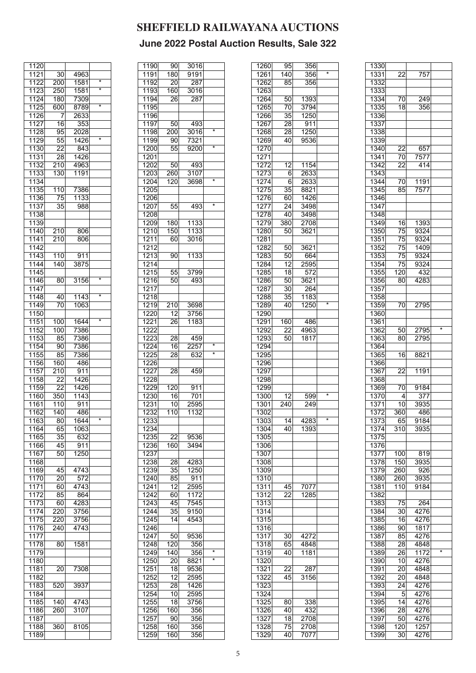| $\overline{30}$ | 4963                                                                                                                                                                                                                                                |                                                                                                                                                                                                                                                                                   |
|-----------------|-----------------------------------------------------------------------------------------------------------------------------------------------------------------------------------------------------------------------------------------------------|-----------------------------------------------------------------------------------------------------------------------------------------------------------------------------------------------------------------------------------------------------------------------------------|
|                 |                                                                                                                                                                                                                                                     | $\star$                                                                                                                                                                                                                                                                           |
|                 |                                                                                                                                                                                                                                                     | ∗                                                                                                                                                                                                                                                                                 |
|                 |                                                                                                                                                                                                                                                     |                                                                                                                                                                                                                                                                                   |
|                 |                                                                                                                                                                                                                                                     |                                                                                                                                                                                                                                                                                   |
|                 |                                                                                                                                                                                                                                                     | $\overline{\ast}$                                                                                                                                                                                                                                                                 |
|                 |                                                                                                                                                                                                                                                     |                                                                                                                                                                                                                                                                                   |
|                 |                                                                                                                                                                                                                                                     |                                                                                                                                                                                                                                                                                   |
|                 |                                                                                                                                                                                                                                                     |                                                                                                                                                                                                                                                                                   |
|                 |                                                                                                                                                                                                                                                     |                                                                                                                                                                                                                                                                                   |
|                 |                                                                                                                                                                                                                                                     |                                                                                                                                                                                                                                                                                   |
|                 |                                                                                                                                                                                                                                                     | $\star$                                                                                                                                                                                                                                                                           |
|                 |                                                                                                                                                                                                                                                     |                                                                                                                                                                                                                                                                                   |
|                 |                                                                                                                                                                                                                                                     |                                                                                                                                                                                                                                                                                   |
|                 |                                                                                                                                                                                                                                                     |                                                                                                                                                                                                                                                                                   |
|                 |                                                                                                                                                                                                                                                     |                                                                                                                                                                                                                                                                                   |
|                 |                                                                                                                                                                                                                                                     |                                                                                                                                                                                                                                                                                   |
|                 |                                                                                                                                                                                                                                                     |                                                                                                                                                                                                                                                                                   |
|                 |                                                                                                                                                                                                                                                     |                                                                                                                                                                                                                                                                                   |
|                 |                                                                                                                                                                                                                                                     |                                                                                                                                                                                                                                                                                   |
|                 |                                                                                                                                                                                                                                                     |                                                                                                                                                                                                                                                                                   |
|                 |                                                                                                                                                                                                                                                     |                                                                                                                                                                                                                                                                                   |
| 35              | 988                                                                                                                                                                                                                                                 |                                                                                                                                                                                                                                                                                   |
|                 |                                                                                                                                                                                                                                                     |                                                                                                                                                                                                                                                                                   |
|                 |                                                                                                                                                                                                                                                     |                                                                                                                                                                                                                                                                                   |
|                 |                                                                                                                                                                                                                                                     |                                                                                                                                                                                                                                                                                   |
|                 |                                                                                                                                                                                                                                                     |                                                                                                                                                                                                                                                                                   |
|                 |                                                                                                                                                                                                                                                     |                                                                                                                                                                                                                                                                                   |
|                 |                                                                                                                                                                                                                                                     |                                                                                                                                                                                                                                                                                   |
|                 |                                                                                                                                                                                                                                                     |                                                                                                                                                                                                                                                                                   |
|                 |                                                                                                                                                                                                                                                     |                                                                                                                                                                                                                                                                                   |
|                 |                                                                                                                                                                                                                                                     |                                                                                                                                                                                                                                                                                   |
|                 |                                                                                                                                                                                                                                                     |                                                                                                                                                                                                                                                                                   |
|                 |                                                                                                                                                                                                                                                     |                                                                                                                                                                                                                                                                                   |
|                 |                                                                                                                                                                                                                                                     | $\star$                                                                                                                                                                                                                                                                           |
|                 |                                                                                                                                                                                                                                                     |                                                                                                                                                                                                                                                                                   |
|                 |                                                                                                                                                                                                                                                     |                                                                                                                                                                                                                                                                                   |
|                 |                                                                                                                                                                                                                                                     | *                                                                                                                                                                                                                                                                                 |
|                 |                                                                                                                                                                                                                                                     |                                                                                                                                                                                                                                                                                   |
|                 |                                                                                                                                                                                                                                                     |                                                                                                                                                                                                                                                                                   |
|                 |                                                                                                                                                                                                                                                     |                                                                                                                                                                                                                                                                                   |
|                 |                                                                                                                                                                                                                                                     | $\star$                                                                                                                                                                                                                                                                           |
|                 |                                                                                                                                                                                                                                                     |                                                                                                                                                                                                                                                                                   |
|                 |                                                                                                                                                                                                                                                     |                                                                                                                                                                                                                                                                                   |
|                 |                                                                                                                                                                                                                                                     |                                                                                                                                                                                                                                                                                   |
|                 |                                                                                                                                                                                                                                                     |                                                                                                                                                                                                                                                                                   |
|                 |                                                                                                                                                                                                                                                     |                                                                                                                                                                                                                                                                                   |
|                 |                                                                                                                                                                                                                                                     |                                                                                                                                                                                                                                                                                   |
|                 |                                                                                                                                                                                                                                                     |                                                                                                                                                                                                                                                                                   |
|                 |                                                                                                                                                                                                                                                     |                                                                                                                                                                                                                                                                                   |
|                 |                                                                                                                                                                                                                                                     |                                                                                                                                                                                                                                                                                   |
|                 |                                                                                                                                                                                                                                                     |                                                                                                                                                                                                                                                                                   |
|                 |                                                                                                                                                                                                                                                     |                                                                                                                                                                                                                                                                                   |
|                 |                                                                                                                                                                                                                                                     |                                                                                                                                                                                                                                                                                   |
|                 |                                                                                                                                                                                                                                                     |                                                                                                                                                                                                                                                                                   |
|                 |                                                                                                                                                                                                                                                     |                                                                                                                                                                                                                                                                                   |
|                 |                                                                                                                                                                                                                                                     |                                                                                                                                                                                                                                                                                   |
|                 |                                                                                                                                                                                                                                                     |                                                                                                                                                                                                                                                                                   |
|                 |                                                                                                                                                                                                                                                     | $\overline{\ast}$                                                                                                                                                                                                                                                                 |
|                 |                                                                                                                                                                                                                                                     |                                                                                                                                                                                                                                                                                   |
|                 |                                                                                                                                                                                                                                                     |                                                                                                                                                                                                                                                                                   |
| 35              | 632                                                                                                                                                                                                                                                 |                                                                                                                                                                                                                                                                                   |
|                 |                                                                                                                                                                                                                                                     |                                                                                                                                                                                                                                                                                   |
|                 |                                                                                                                                                                                                                                                     |                                                                                                                                                                                                                                                                                   |
| 45              | 911                                                                                                                                                                                                                                                 |                                                                                                                                                                                                                                                                                   |
| 50              | 1250                                                                                                                                                                                                                                                |                                                                                                                                                                                                                                                                                   |
|                 |                                                                                                                                                                                                                                                     |                                                                                                                                                                                                                                                                                   |
|                 |                                                                                                                                                                                                                                                     |                                                                                                                                                                                                                                                                                   |
| 45              | 4743                                                                                                                                                                                                                                                |                                                                                                                                                                                                                                                                                   |
| 20              | 572                                                                                                                                                                                                                                                 |                                                                                                                                                                                                                                                                                   |
|                 |                                                                                                                                                                                                                                                     |                                                                                                                                                                                                                                                                                   |
| 60              | 4743                                                                                                                                                                                                                                                |                                                                                                                                                                                                                                                                                   |
| 85              | 864                                                                                                                                                                                                                                                 |                                                                                                                                                                                                                                                                                   |
|                 | 4283                                                                                                                                                                                                                                                |                                                                                                                                                                                                                                                                                   |
| 60              |                                                                                                                                                                                                                                                     |                                                                                                                                                                                                                                                                                   |
| 220             | 3756                                                                                                                                                                                                                                                |                                                                                                                                                                                                                                                                                   |
| 220             | 3756                                                                                                                                                                                                                                                |                                                                                                                                                                                                                                                                                   |
|                 |                                                                                                                                                                                                                                                     |                                                                                                                                                                                                                                                                                   |
| 240             | 4743                                                                                                                                                                                                                                                |                                                                                                                                                                                                                                                                                   |
|                 |                                                                                                                                                                                                                                                     |                                                                                                                                                                                                                                                                                   |
| 80              |                                                                                                                                                                                                                                                     |                                                                                                                                                                                                                                                                                   |
|                 | 1581                                                                                                                                                                                                                                                |                                                                                                                                                                                                                                                                                   |
|                 |                                                                                                                                                                                                                                                     |                                                                                                                                                                                                                                                                                   |
|                 |                                                                                                                                                                                                                                                     |                                                                                                                                                                                                                                                                                   |
|                 |                                                                                                                                                                                                                                                     |                                                                                                                                                                                                                                                                                   |
| 20              | 7308                                                                                                                                                                                                                                                |                                                                                                                                                                                                                                                                                   |
|                 |                                                                                                                                                                                                                                                     |                                                                                                                                                                                                                                                                                   |
| 520             | 3937                                                                                                                                                                                                                                                |                                                                                                                                                                                                                                                                                   |
|                 |                                                                                                                                                                                                                                                     |                                                                                                                                                                                                                                                                                   |
|                 |                                                                                                                                                                                                                                                     |                                                                                                                                                                                                                                                                                   |
| 140             | 4743                                                                                                                                                                                                                                                |                                                                                                                                                                                                                                                                                   |
| 260             | 3107                                                                                                                                                                                                                                                |                                                                                                                                                                                                                                                                                   |
|                 |                                                                                                                                                                                                                                                     |                                                                                                                                                                                                                                                                                   |
|                 |                                                                                                                                                                                                                                                     |                                                                                                                                                                                                                                                                                   |
| 360             | 8105                                                                                                                                                                                                                                                |                                                                                                                                                                                                                                                                                   |
|                 | 200<br>250<br>180<br>600<br>7<br>16<br>95<br>55<br>22<br>28<br>210<br>130<br>110<br>75<br>$\overline{2}10$<br>210<br>110<br>140<br>80<br>40<br>70<br>100<br>100<br>85<br>90<br>85<br>160<br>210<br>22<br>$\overline{22}$<br>350<br>110<br>140<br>65 | 1581<br>1581<br>7309<br>8789<br>2633<br>353<br>2028<br>1426<br>843<br>1426<br>4963<br>1191<br>7386<br>1133<br>806<br>806<br>911<br>3875<br>3156<br>1143<br>1063<br>1644<br>7386<br>7386<br>7386<br>7386<br>486<br>911<br>1426<br>1426<br>1143<br>911<br>486<br>1644<br>80<br>1063 |

| 1190 | 90               | 3016              |                   |
|------|------------------|-------------------|-------------------|
|      |                  |                   |                   |
| 1191 | 180              | $\overline{9191}$ |                   |
| 1192 | 20               | 287               |                   |
|      |                  |                   |                   |
| 1193 | 160              | 3016              |                   |
| 1194 | $\overline{2}6$  | 287               |                   |
|      |                  |                   |                   |
| 1195 |                  |                   |                   |
| 1196 |                  |                   |                   |
|      |                  |                   |                   |
| 1197 | 50               | 493               |                   |
| 1198 | 200              | 3016              | ×                 |
|      |                  |                   |                   |
| 1199 | 90               | 7321              |                   |
| 1200 | 55               | 9200              | $\star$           |
| 1201 |                  |                   |                   |
|      |                  |                   |                   |
| 1202 | 50               | 493               |                   |
| 1203 |                  |                   |                   |
|      | 260              | 3107              |                   |
| 1204 | 120              | 3698              | $\star$           |
| 1205 |                  |                   |                   |
|      |                  |                   |                   |
| 1206 |                  |                   |                   |
| 1207 | 55               | 493               | $\star$           |
|      |                  |                   |                   |
| 1208 |                  |                   |                   |
| 1209 | 180              | 1133              |                   |
|      |                  |                   |                   |
| 1210 | 150              | 1133              |                   |
| 1211 | 60               | 3016              |                   |
| 1212 |                  |                   |                   |
|      |                  |                   |                   |
| 1213 | 90               | 1133              |                   |
| 1214 |                  |                   |                   |
|      |                  |                   |                   |
| 1215 | 55               | 3799              |                   |
| 1216 | 50               | 493               |                   |
|      |                  |                   |                   |
| 1217 |                  |                   |                   |
| 1218 |                  |                   |                   |
| 1219 | 210              | 3698              |                   |
|      |                  |                   |                   |
| 1220 | 12               | 3756              |                   |
| 1221 | 26               | 1183              |                   |
|      |                  |                   |                   |
| 1222 |                  |                   |                   |
| 1223 | $\overline{2}8$  | 459               |                   |
|      |                  |                   | $\star$           |
| 1224 | 16               | 2257              |                   |
| 1225 | 28               | 632               | $\overline{\ast}$ |
| 1226 |                  |                   |                   |
|      |                  |                   |                   |
| 1227 | 28               | 459               |                   |
| 1228 |                  |                   |                   |
| 1229 | $\overline{120}$ | 911               |                   |
|      |                  |                   |                   |
| 1230 | 16               | 701               |                   |
| 1231 | 10               | 2595              |                   |
|      |                  |                   |                   |
| 1232 | 110              | $\frac{1}{1132}$  |                   |
| 1233 |                  |                   |                   |
|      |                  |                   |                   |
| 1234 |                  |                   |                   |
| 1235 | 22               | 9536              |                   |
|      |                  |                   |                   |
| 1236 | 160              | 3494              |                   |
| 1237 |                  |                   |                   |
| 1238 | 28               | 4283              |                   |
|      |                  |                   |                   |
| 1239 | 35               | 1250              |                   |
| 1240 | 85               | 911               |                   |
|      |                  |                   |                   |
| 1241 | 12               | 2595              |                   |
| 1242 | 60               | 1172              |                   |
| 1243 | 45               | 7545              |                   |
|      |                  |                   |                   |
| 1244 | 35               | 9150              |                   |
| 1245 | 14               | 4543              |                   |
|      |                  |                   |                   |
| 1246 |                  |                   |                   |
| 1247 | 50               | 9536              |                   |
| 1248 | 120              | 356               |                   |
|      |                  |                   | *                 |
| 1249 | 140              | 356               |                   |
| 1250 | 20               | 8821              | $\star$           |
|      |                  |                   |                   |
| 1251 | 18               | 9536              |                   |
| 1252 | 12               | 2595              |                   |
| 1253 | 28               | 1426              |                   |
|      |                  |                   |                   |
| 1254 | 10               | 2595              |                   |
| 1255 | 18               | 3756              |                   |
| 1256 | 160              | 356               |                   |
|      |                  |                   |                   |
| 1257 | 90               | 356               |                   |
| 1258 | 160              | 356               |                   |
|      |                  |                   |                   |
| 1259 | 160              | 356               |                   |

| 1260 | 95               | $\overline{3}56$ |                   |
|------|------------------|------------------|-------------------|
| 1261 | $\overline{1}40$ | 356              | $\overline{\ast}$ |
| 1262 | 85               | 356              |                   |
| 1263 |                  |                  |                   |
| 1264 | 50               | 1393             |                   |
| 1265 | 70               | 3794             |                   |
| 1266 | 35               | 1250             |                   |
| 1267 |                  |                  |                   |
|      | 28               | 911              |                   |
| 1268 | 28               | 1250             |                   |
| 1269 | 40               | 9536             |                   |
| 1270 |                  |                  |                   |
| 1271 |                  |                  |                   |
| 1272 | 12               | 1154             |                   |
| 1273 | 6                | 2633             |                   |
| 1274 | 6                | 2633             |                   |
| 1275 | 35               | 8821             |                   |
| 1276 | 60               | 1426             |                   |
| 1277 | 24               | 3498             |                   |
| 1278 | 40               | 3498             |                   |
|      |                  |                  |                   |
| 1279 | 380              | 2708             |                   |
| 1280 | 50               | 3621             |                   |
| 1281 |                  |                  |                   |
| 1282 | 50               | 3621             |                   |
| 1283 | 50               | 664              |                   |
| 1284 | 12               | 2595             |                   |
| 1285 | 18               | 572              |                   |
| 1286 | $\overline{50}$  | 3621             |                   |
|      |                  |                  |                   |
| 1287 | 30               | 264              |                   |
| 1288 | 35               | 1183             | $\overline{\ast}$ |
| 1289 | 40               | 1250             |                   |
| 1290 |                  |                  |                   |
| 1291 | 160              | 486              |                   |
| 1292 | 22               | 4963             |                   |
| 1293 | 50               | 1817             |                   |
| 1294 |                  |                  |                   |
| 1295 |                  |                  |                   |
| 1296 |                  |                  |                   |
|      |                  |                  |                   |
| 1297 |                  |                  |                   |
| 1298 |                  |                  |                   |
| 1299 |                  |                  |                   |
| 1300 | 12               | 599              | ×                 |
| 1301 | $\overline{240}$ | 249              |                   |
| 1302 |                  |                  |                   |
| 1303 | $\overline{14}$  | 4283             | $\overline{\ast}$ |
| 1304 | 40               | 1393             |                   |
| 1305 |                  |                  |                   |
|      |                  |                  |                   |
| 1306 |                  |                  |                   |
| 1307 |                  |                  |                   |
| 1308 |                  |                  |                   |
| 1309 |                  |                  |                   |
| 1310 |                  |                  |                   |
| 1311 | 45               | 7077             |                   |
| 1312 |                  |                  |                   |
|      |                  |                  |                   |
|      | 22               | 1285             |                   |
| 1313 |                  |                  |                   |
| 1314 |                  |                  |                   |
| 1315 |                  |                  |                   |
| 1316 |                  |                  |                   |
| 1317 | 30               | 4272             |                   |
| 1318 | 65               | 4848             |                   |
| 1319 | 40               | 1181             |                   |
| 1320 |                  |                  |                   |
| 1321 |                  | 287              |                   |
|      | 22               |                  |                   |
| 1322 | 45               | 3156             |                   |
| 1323 |                  |                  |                   |
| 1324 |                  |                  |                   |
| 1325 | 80               | 338              |                   |
| 1326 | 40               | 432              |                   |
| 1327 | 18               | 2708             |                   |
| 1328 | $\overline{7}5$  | 2708             |                   |
| 1329 | 40               | 7077             |                   |

| 1330              |                  |                  |         |
|-------------------|------------------|------------------|---------|
| 1331              | $\overline{22}$  | 757              |         |
| 1332              |                  |                  |         |
| 1333              |                  |                  |         |
| 1334              | 70               | 249              |         |
| 1335              | $\overline{18}$  | 356              |         |
| 1336              |                  |                  |         |
|                   |                  |                  |         |
| 1337              |                  |                  |         |
| 1338              |                  |                  |         |
| 1339              |                  |                  |         |
| 1340              | 22               | 657              |         |
| 1341              | 70               | 7577             |         |
| 1342              | 22               | 414              |         |
| 1343              |                  |                  |         |
| 1344              | 70               | 1191             |         |
| 1345              | 85               | $\overline{757}$ |         |
| 1346              |                  |                  |         |
|                   |                  |                  |         |
| 1347              |                  |                  |         |
| 1348              |                  |                  |         |
| 1349              | 16               | 1393             |         |
| 1350              | $\overline{75}$  | 9324             |         |
| 1351              | 75               | 9324             |         |
| 1352              | $\overline{75}$  | 1409             |         |
| 1353              | $\overline{75}$  | 9324             |         |
| 1354              | 75               |                  |         |
|                   |                  | 9324             |         |
| 1355              | 120              | 432              |         |
| 1356              | 80               | 4283             |         |
| 1357              |                  |                  |         |
| 1358              |                  |                  |         |
| 1359              | 70               | 2795             |         |
| 1360              |                  |                  |         |
| 1361              |                  |                  |         |
|                   |                  |                  | $\star$ |
| 1362              | 50               | 2795             |         |
| 1363              | 80               | 2795             |         |
| 1364              |                  |                  |         |
| 1365              | 16               | 8821             |         |
| 1366              |                  |                  |         |
| 1367              | 22               | 1191             |         |
| 1368              |                  |                  |         |
| 1369              | 70               | 9184             |         |
| 1370              | $\vert$          | $\overline{377}$ |         |
|                   |                  |                  |         |
| 1371              | 10 <sup>1</sup>  | 3935             |         |
| 1372              | 360              | 486              |         |
| $\overline{1373}$ | 65               | 9184             |         |
| 1374              | $\overline{3}10$ | 3935             |         |
| 1375              |                  |                  |         |
| 1376              |                  |                  |         |
| 1377              | 100              | 819              |         |
| 1378              |                  |                  |         |
|                   | 150              | 3935             |         |
| 1379              | 260              | 926              |         |
| 1380              | 260              | 3935             |         |
| 1381              | $\overline{110}$ | 9184             |         |
| 1382              |                  |                  |         |
| 1383              | 75               | 264              |         |
| 1384              | 30               | 4276             |         |
| 1385              | 16               | 4276             |         |
| 1386              | 90               | 1817             |         |
| 1387              |                  |                  |         |
|                   | 85               | 4276             |         |
| 1388              | $\overline{28}$  | 4848             |         |
| 1389              | 26               | 1172             | $\star$ |
| 1390              | 10               | 4276             |         |
| 1391              | 20               | 4848             |         |
| 1392              | 20               | 4848             |         |
| 1393              | 24               | 4276             |         |
| 1394              | -5               | 4276             |         |
| 1395              | 14               | 4276             |         |
|                   |                  |                  |         |
| 1396              | 28               | 4276             |         |
| 1397              | 50               | 4276             |         |
| 1398              | 120              | 1257             |         |
|                   |                  | 4276             |         |
| 1399              | 30               |                  |         |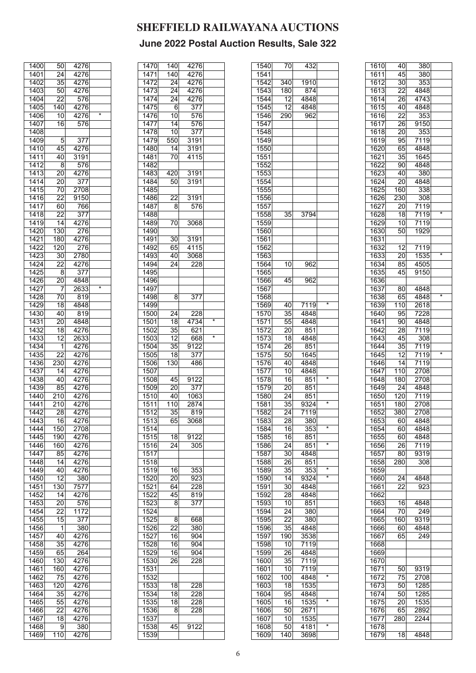| 1400              | 50              | 4276               |   |
|-------------------|-----------------|--------------------|---|
| $\overline{1401}$ | $\overline{24}$ | 4276               |   |
| 1402              | 35              | 4276               |   |
|                   |                 |                    |   |
| 1403              | 50              | 4276               |   |
| 1404              | 22              | 576                |   |
| 1405              | 140             | $\frac{1}{4276}$   |   |
| 1406              | $\overline{10}$ | 4276               | * |
| 1407              | 16              | 576                |   |
|                   |                 |                    |   |
| 1408              |                 |                    |   |
| 1409              | 5               | 377                |   |
| 1410              | 45              | 4276               |   |
| 1411              | 40              | 3191               |   |
| 1412              | 8               | 576                |   |
| 1413              | 20              | 4276               |   |
|                   |                 | $\overline{377}$   |   |
| 1414              | 20              |                    |   |
| 1415              | 70              | 2708               |   |
| 1416              | 22              | $\overline{9}$ 150 |   |
| $\overline{1417}$ | 60              | 766                |   |
| 1418              | $\overline{22}$ | $\overline{377}$   |   |
| 1419              | 14              | 4276               |   |
|                   |                 |                    |   |
| 1420              | 130             | 276                |   |
| 1421              | 180             | 4276               |   |
| 1422              | 120             | 276                |   |
| 1423              | 30              | 2780               |   |
| 1424              | 22              | 4276               |   |
| 1425              |                 |                    |   |
|                   | 8               | 377                |   |
| 1426              | $\overline{2}0$ | 4848               |   |
| 1427              | 7               | 2633               | × |
| 1428              | 70              | 819                |   |
| 1429              | $\overline{18}$ | 4848               |   |
|                   |                 |                    |   |
| 1430              | 40              | 819                |   |
| 1431              | 20              | 4848               |   |
| 1432              | 18              | 4276               |   |
| 1433              | 12              | 2633               |   |
| 1434              | 1               | 4276               |   |
| 1435              | $\overline{22}$ | 4276               |   |
|                   |                 |                    |   |
| 1436              | 230             | 4276               |   |
| 1437              | 14              | 4276               |   |
| 1438              | 40              | 4276               |   |
| 1439              | 85              | $\overline{4276}$  |   |
| 1440              | 210             | 4276               |   |
|                   | 210             | 4276               |   |
| 1441              |                 |                    |   |
| 1442              | 28              | 4276               |   |
| 1443              | $\bar{1}6$      | 4276               |   |
| 1444              | 150             | 2708               |   |
| 1445              | 190             | 4276               |   |
| 1446              |                 |                    |   |
|                   | 160             | 4276               |   |
| 1447              | 85              | 4276               |   |
| 1448              | 14              | 4276               |   |
| 1449              | 40              | $\frac{1}{4276}$   |   |
| 1450              | 12              | 380                |   |
| 1451              | 130             | 7577               |   |
| 1452              | 14              | 4276               |   |
|                   |                 |                    |   |
| 1453              | 20              | 576                |   |
| 1454              | $\overline{22}$ | 1172               |   |
| 1455              | 15              | 377                |   |
| 1456              | 1               | 380                |   |
| 1457              | 40              | 4276               |   |
|                   |                 |                    |   |
| 1458              | 35              | 4276               |   |
| 1459              | 65              | 264                |   |
| 1460              | 130             | 4276               |   |
| 1461              | 160             | 4276               |   |
| 1462              | $7\overline{5}$ | 4276               |   |
|                   |                 |                    |   |
| 1463              | 120             | 4276               |   |
| 1464              | $\overline{35}$ | 4276               |   |
| 1465              | 55              | 4276               |   |
| 1466              | 22              | 4276               |   |
|                   |                 |                    |   |
|                   |                 |                    |   |
| 1467              | 18              | 4276               |   |
| 1468<br>1469      | 9<br>110        | 380<br>4276        |   |

|                                                                                                                                                                                      | 140              | 4276             |         |
|--------------------------------------------------------------------------------------------------------------------------------------------------------------------------------------|------------------|------------------|---------|
| 1470                                                                                                                                                                                 |                  |                  |         |
| 1471                                                                                                                                                                                 | 140              | 4276             |         |
| 1472                                                                                                                                                                                 | $\overline{2}$ 4 | 4276             |         |
|                                                                                                                                                                                      |                  |                  |         |
| 1473                                                                                                                                                                                 | 24               | 4276             |         |
| 1474                                                                                                                                                                                 | 24               | 4276             |         |
|                                                                                                                                                                                      |                  |                  |         |
| 1475                                                                                                                                                                                 | 6                | $\overline{377}$ |         |
| 1476                                                                                                                                                                                 | 10               | 576              |         |
|                                                                                                                                                                                      |                  |                  |         |
| 1477                                                                                                                                                                                 | 14               | 576              |         |
| 1478                                                                                                                                                                                 | 10               | $3\overline{7}$  |         |
|                                                                                                                                                                                      |                  |                  |         |
| $\overline{1479}$                                                                                                                                                                    | 550              | 3191             |         |
| 1480                                                                                                                                                                                 | 14               | 3191             |         |
|                                                                                                                                                                                      |                  |                  |         |
| 1481                                                                                                                                                                                 | 70               | 4115             |         |
| 1482                                                                                                                                                                                 |                  |                  |         |
|                                                                                                                                                                                      |                  |                  |         |
| 1483                                                                                                                                                                                 | 420              | 3191             |         |
| 1484                                                                                                                                                                                 | 50               | 3191             |         |
| 1485                                                                                                                                                                                 |                  |                  |         |
|                                                                                                                                                                                      |                  |                  |         |
| 1486                                                                                                                                                                                 | 22               | 3191             |         |
| 1487                                                                                                                                                                                 | 8                | 576              |         |
|                                                                                                                                                                                      |                  |                  |         |
| 1488                                                                                                                                                                                 |                  |                  |         |
| 1489                                                                                                                                                                                 | 70               | 3068             |         |
|                                                                                                                                                                                      |                  |                  |         |
| 1490                                                                                                                                                                                 |                  |                  |         |
| 1491                                                                                                                                                                                 | $\bar{3}0$       | 3191             |         |
|                                                                                                                                                                                      |                  |                  |         |
| 1492                                                                                                                                                                                 | 65               | 4115             |         |
| 1493                                                                                                                                                                                 | 40               | 3068             |         |
| 1494                                                                                                                                                                                 | 24               | 228              |         |
|                                                                                                                                                                                      |                  |                  |         |
| 1495                                                                                                                                                                                 |                  |                  |         |
| 1496                                                                                                                                                                                 |                  |                  |         |
|                                                                                                                                                                                      |                  |                  |         |
| 1497                                                                                                                                                                                 |                  |                  |         |
| 1498                                                                                                                                                                                 | 8                | 377              |         |
|                                                                                                                                                                                      |                  |                  |         |
| 1499                                                                                                                                                                                 |                  |                  |         |
| 1500                                                                                                                                                                                 | 24               | 228              |         |
|                                                                                                                                                                                      |                  |                  | $\star$ |
| 1501                                                                                                                                                                                 | $\overline{18}$  | 4734             |         |
| 1502                                                                                                                                                                                 | 35               | 621              |         |
|                                                                                                                                                                                      |                  |                  | ×       |
| 1503                                                                                                                                                                                 | 12               | 668              |         |
| 1504                                                                                                                                                                                 | 35               | 9122             |         |
| 1505                                                                                                                                                                                 |                  |                  |         |
|                                                                                                                                                                                      | 18               | 377              |         |
| 1506                                                                                                                                                                                 | 130              | 486              |         |
| 1507                                                                                                                                                                                 |                  |                  |         |
|                                                                                                                                                                                      |                  |                  |         |
| 1508                                                                                                                                                                                 | 45               | 9122             |         |
|                                                                                                                                                                                      | 20               | 377              |         |
|                                                                                                                                                                                      |                  |                  |         |
|                                                                                                                                                                                      |                  |                  |         |
|                                                                                                                                                                                      | 40               | 1063             |         |
|                                                                                                                                                                                      |                  |                  |         |
| 1511                                                                                                                                                                                 | $\overline{110}$ | 2874             |         |
| 1512                                                                                                                                                                                 | $\overline{35}$  | 819              |         |
|                                                                                                                                                                                      | 65               |                  |         |
|                                                                                                                                                                                      |                  | 3068             |         |
| 1514                                                                                                                                                                                 |                  |                  |         |
|                                                                                                                                                                                      | 18               | 9122             |         |
|                                                                                                                                                                                      |                  |                  |         |
| 1516                                                                                                                                                                                 | 24               | 305              |         |
|                                                                                                                                                                                      |                  |                  |         |
|                                                                                                                                                                                      |                  |                  |         |
|                                                                                                                                                                                      |                  |                  |         |
|                                                                                                                                                                                      | 16               | 353              |         |
|                                                                                                                                                                                      |                  |                  |         |
|                                                                                                                                                                                      | 20               | 923              |         |
| 1521                                                                                                                                                                                 | 64               | 228              |         |
|                                                                                                                                                                                      | 45               | 819              |         |
|                                                                                                                                                                                      |                  |                  |         |
|                                                                                                                                                                                      | 8                | 377              |         |
|                                                                                                                                                                                      |                  |                  |         |
|                                                                                                                                                                                      |                  |                  |         |
|                                                                                                                                                                                      | 8                | 668              |         |
|                                                                                                                                                                                      | 22               | 380              |         |
|                                                                                                                                                                                      |                  | 904              |         |
|                                                                                                                                                                                      | 16               |                  |         |
|                                                                                                                                                                                      | 16               | 904              |         |
|                                                                                                                                                                                      | 16               | 904              |         |
|                                                                                                                                                                                      |                  |                  |         |
| 1530                                                                                                                                                                                 | 26               | 228              |         |
|                                                                                                                                                                                      |                  |                  |         |
|                                                                                                                                                                                      |                  |                  |         |
|                                                                                                                                                                                      |                  |                  |         |
|                                                                                                                                                                                      | 18               | 228              |         |
|                                                                                                                                                                                      |                  |                  |         |
|                                                                                                                                                                                      | 18               | 228              |         |
|                                                                                                                                                                                      | 18               | 228              |         |
|                                                                                                                                                                                      | 8                | 228              |         |
|                                                                                                                                                                                      |                  |                  |         |
|                                                                                                                                                                                      |                  |                  |         |
| 1509<br>1510<br>1513<br>1515<br>1517<br>1518<br>1519<br>1520<br>1522<br>1523<br>1524<br>1525<br>1526<br>1527<br>1528<br>1529<br>1531<br>1532<br>1533<br>1534<br>1535<br>1536<br>1537 | 45               |                  |         |
| 1538<br>1539                                                                                                                                                                         |                  | 9122             |         |

| 1540 | 70              | 432                |                   |
|------|-----------------|--------------------|-------------------|
| 1541 |                 |                    |                   |
| 1542 | 340             | 1910               |                   |
|      |                 |                    |                   |
| 1543 | 180             | 874                |                   |
| 1544 | 12              | 4848               |                   |
| 1545 | 12              | 4848               |                   |
| 1546 | 290             | 962                |                   |
| 1547 |                 |                    |                   |
|      |                 |                    |                   |
| 1548 |                 |                    |                   |
| 1549 |                 |                    |                   |
| 1550 |                 |                    |                   |
| 1551 |                 |                    |                   |
| 1552 |                 |                    |                   |
|      |                 |                    |                   |
| 1553 |                 |                    |                   |
| 1554 |                 |                    |                   |
| 1555 |                 |                    |                   |
| 1556 |                 |                    |                   |
| 1557 |                 |                    |                   |
| 1558 | $\overline{35}$ | 3794               |                   |
|      |                 |                    |                   |
| 1559 |                 |                    |                   |
| 1560 |                 |                    |                   |
| 1561 |                 |                    |                   |
| 1562 |                 |                    |                   |
| 1563 |                 |                    |                   |
|      |                 |                    |                   |
| 1564 | 10              | 962                |                   |
| 1565 |                 |                    |                   |
| 1566 | 45              | 962                |                   |
| 1567 |                 |                    |                   |
| 1568 |                 |                    |                   |
|      |                 |                    | $\overline{\ast}$ |
| 1569 | 40              | 7119               |                   |
| 1570 | 35              | 4848               |                   |
| 1571 | 55              | 4848               |                   |
| 1572 | 20              | 851                |                   |
| 1573 | $\overline{18}$ | 4848               |                   |
|      |                 |                    |                   |
| 1574 | 26              | 851                |                   |
| 1575 | 50              | 1645               |                   |
| 1576 | 40              | 4848               |                   |
| 1577 | 10 <sup>1</sup> | 4848               |                   |
| 1578 | 16              | 851                | $\overline{\ast}$ |
| 1579 | 20 <sup>2</sup> | 851                |                   |
|      |                 |                    |                   |
| 1580 | 24              | 851                |                   |
| 1581 | $3\overline{5}$ | 9324               | *                 |
| 1582 | 24              | 7119               |                   |
| 1583 | $\overline{28}$ | 380                |                   |
|      |                 | 353                | *                 |
| 1584 | 16              |                    |                   |
| 1585 | 16              | 851                |                   |
| 1586 | 24              | 851                | *                 |
| 1587 | 30 <sub>l</sub> | 4848               |                   |
| 1588 | 26              | 851                |                   |
|      |                 |                    | *                 |
| 1589 | 35              | 353                | *                 |
| 1590 | 14              | 9324               |                   |
| 1591 | $\overline{3}0$ | 4848               |                   |
| 1592 | 28              | 4848               |                   |
| 1593 | 10              | 851                |                   |
|      |                 |                    |                   |
| 1594 | 24              | 380                |                   |
| 1595 | 22              | 380                |                   |
| 1596 | 35              | 4848               |                   |
| 1597 | 190             | 3538               |                   |
| 1598 | 10              | $\overline{7}$ 119 |                   |
|      |                 |                    |                   |
| 1599 | 26              | 4848               |                   |
| 1600 | 35              | 7119               |                   |
| 1601 | 10              | $\overline{7}119$  |                   |
| 1602 | 100             | 4848               | *                 |
| 1603 | 18              | 1535               |                   |
|      |                 |                    |                   |
| 1604 | 95              | 4848               |                   |
| 1605 | 16              | 1535               | $\star$           |
| 1606 | 50              | 2671               |                   |
| 1607 | 10              | 1535               |                   |
| 1608 | 50              | 4181               | *                 |
|      |                 |                    |                   |
| 1609 | 140             | 3698               |                   |

| 1610              | 40              | 380                |                   |
|-------------------|-----------------|--------------------|-------------------|
| 1611              | 45              | 380                |                   |
| 1612              | 30 <sup>2</sup> | 353                |                   |
| 1613              | 22              | 4848               |                   |
| 1614              | 26              | 4743               |                   |
| 1615              | 40              | 4848               |                   |
| 1616              | $\overline{22}$ | 353                |                   |
| 1617              | 26              | 9150               |                   |
| 1618              | 20              | 353                |                   |
| 1619              | 95              | 7119               |                   |
| 1620              | 65              | 4848               |                   |
| 1621              | 35              | 1645               |                   |
| $162\overline{2}$ | 90              | 4848               |                   |
| 1623              | 40              | 380                |                   |
| 1624              | 20              | 4848               |                   |
| 1625              | 160             | 338                |                   |
| 1626              | 230             | 308                |                   |
| 1627              | 20              | 7119               |                   |
| 1628              | 18              | 7119               | $\star$           |
| 1629              | $\overline{10}$ | 7119               |                   |
| 1630              | 50              | 1929               |                   |
| 1631              |                 |                    |                   |
| 1632              | 12              | 7119               |                   |
| 1633              | $\overline{20}$ | 1535               | $\overline{\ast}$ |
| 1634              | 85              | 4505               |                   |
| 1635              | 45              | 9150               |                   |
| 1636              |                 |                    |                   |
| 1637              | 80              | 4848               |                   |
| 1638              | 65              | 4848               | $\star$           |
| 1639              | 110             | 2618               |                   |
| 1640              | 95              | 7228               |                   |
| 1641              |                 | 4848               |                   |
|                   | 90              | 7119               |                   |
| 1642              | 28              |                    |                   |
| 1643              | 45              | 308                |                   |
| 1644              | 35              | 7119               | $\star$           |
| 1645              | 12              | 7119               |                   |
| 1646              | 14              | 7119               |                   |
| 1647              | 110             | 2708               |                   |
| 1648              | 180             | 2708               |                   |
| 1649              | 24              | 4848               |                   |
| 1650              | 120             | $\frac{1}{7}$ 119  |                   |
| 1651              | 180             | 2708               |                   |
| 1652              | 380             | 2708               |                   |
| 1653              | 60              | 4848               |                   |
| 1654              | 60              | 4848               |                   |
| 1655              | 60              | 4848               |                   |
| 1656              | 26              | $\overline{7}$ 119 |                   |
| 1657              | 80              | 9319               |                   |
| 1658              | 280             | 308                |                   |
| 1659              |                 |                    |                   |
| 1660              | 24              | 4848               |                   |
| 1661              | 22              | 923                |                   |
| 1662              |                 |                    |                   |
| 1663              | 16              | 4848               |                   |
| 1664              | 70              | 249                |                   |
| 1665              | 160             | 9319               |                   |
| 1666              | 60              | 4848               |                   |
| 1667              | 65              | 249                |                   |
| 1668              |                 |                    |                   |
| 1669              |                 |                    |                   |
| 1670              |                 |                    |                   |
| 1671              |                 | 9319               |                   |
|                   |                 |                    |                   |
|                   | 50              |                    |                   |
| 1672              | 75              | 2708               |                   |
| 1673              | 50              | 1285               |                   |
| 1674              | 50              | 1285               |                   |
| 1675              | 20              | 1535               |                   |
| 1676              | 65              | 2892               |                   |
| 1677              | 280             | 2244               |                   |
| 1678<br>1679      | 18              | 4848               |                   |